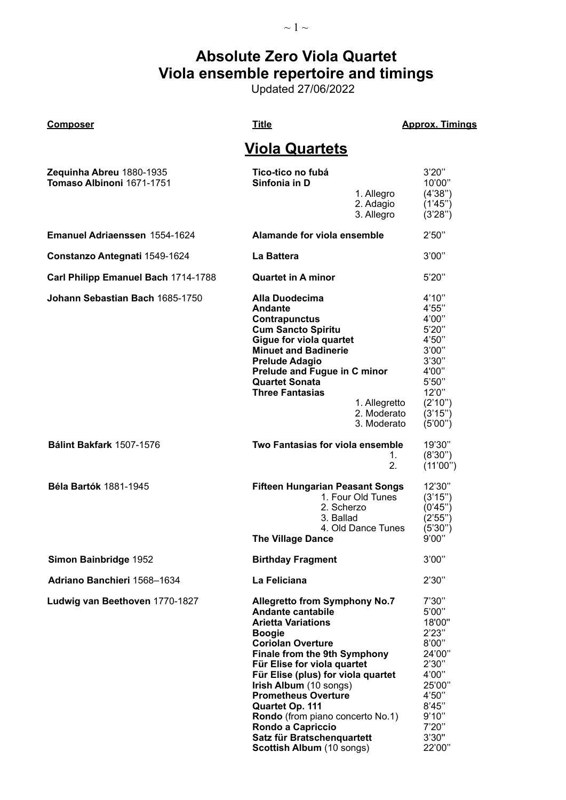# **Absolute Zero Viola Quartet Viola ensemble repertoire and timings**

Updated 27/06/2022

### **Composer Composer Title Title Composer Approx. Timings**

## **Viola Quartets**

| Zequinha Abreu 1880-1935<br>Tomaso Albinoni 1671-1751 | Tico-tico no fubá<br>Sinfonia in D<br>1. Allegro<br>2. Adagio<br>3. Allegro                                                                                                                                                                                                                                                                                                                                                                                  | 3'20''<br>10'00"<br>(4'38'')<br>(1'45")<br>(3'28'')                                                                                       |
|-------------------------------------------------------|--------------------------------------------------------------------------------------------------------------------------------------------------------------------------------------------------------------------------------------------------------------------------------------------------------------------------------------------------------------------------------------------------------------------------------------------------------------|-------------------------------------------------------------------------------------------------------------------------------------------|
| <b>Emanuel Adriaenssen 1554-1624</b>                  | Alamande for viola ensemble                                                                                                                                                                                                                                                                                                                                                                                                                                  | 2'50"                                                                                                                                     |
| Constanzo Antegnati 1549-1624                         | La Battera                                                                                                                                                                                                                                                                                                                                                                                                                                                   | 3'00"                                                                                                                                     |
| Carl Philipp Emanuel Bach 1714-1788                   | <b>Quartet in A minor</b>                                                                                                                                                                                                                                                                                                                                                                                                                                    | 5'20''                                                                                                                                    |
| Johann Sebastian Bach 1685-1750                       | Alla Duodecima<br><b>Andante</b><br><b>Contrapunctus</b><br><b>Cum Sancto Spiritu</b><br>Gigue for viola quartet<br><b>Minuet and Badinerie</b><br><b>Prelude Adagio</b><br>Prelude and Fugue in C minor<br><b>Quartet Sonata</b><br><b>Three Fantasias</b><br>1. Allegretto<br>2. Moderato<br>3. Moderato                                                                                                                                                   | 4'10''<br>4'55"<br>4'00"<br>5'20''<br>4'50"<br>3'00"<br>3'30"<br>4'00"<br>5'50''<br>12'0''<br>(2'10'')<br>(3'15'')<br>(5'00'')            |
| Bálint Bakfark 1507-1576                              | Two Fantasias for viola ensemble<br>1.<br>2.                                                                                                                                                                                                                                                                                                                                                                                                                 | 19'30"<br>(8'30'')<br>(11'00")                                                                                                            |
| <b>Béla Bartók 1881-1945</b>                          | <b>Fifteen Hungarian Peasant Songs</b><br>1. Four Old Tunes<br>2. Scherzo<br>3. Ballad<br>4. Old Dance Tunes<br><b>The Village Dance</b>                                                                                                                                                                                                                                                                                                                     | 12'30"<br>(3'15'')<br>(0'45")<br>(2'55")<br>(5'30'')<br>9'00"                                                                             |
| Simon Bainbridge 1952                                 | <b>Birthday Fragment</b>                                                                                                                                                                                                                                                                                                                                                                                                                                     | 3'00"                                                                                                                                     |
| Adriano Banchieri 1568-1634                           | La Feliciana                                                                                                                                                                                                                                                                                                                                                                                                                                                 | 2'30''                                                                                                                                    |
| Ludwig van Beethoven 1770-1827                        | <b>Allegretto from Symphony No.7</b><br><b>Andante cantabile</b><br><b>Arietta Variations</b><br><b>Boogie</b><br><b>Coriolan Overture</b><br><b>Finale from the 9th Symphony</b><br>Für Elise for viola quartet<br>Für Elise (plus) for viola quartet<br>Irish Album (10 songs)<br><b>Prometheus Overture</b><br>Quartet Op. 111<br><b>Rondo</b> (from piano concerto No.1)<br>Rondo a Capriccio<br>Satz für Bratschenquartett<br>Scottish Album (10 songs) | 7'30''<br>5'00"<br>18'00"<br>2'23"<br>8'00"<br>24'00"<br>2'30"<br>4'00"<br>25'00"<br>4'50"<br>8'45"<br>9'10"<br>7'20''<br>3'30"<br>22'00" |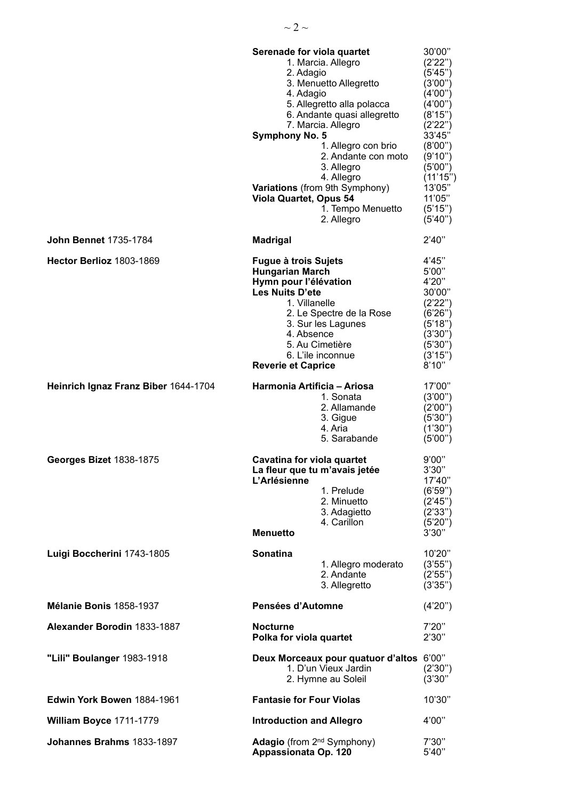|                                      | Serenade for viola quartet<br>1. Marcia. Allegro<br>2. Adagio<br>3. Menuetto Allegretto<br>4. Adagio<br>5. Allegretto alla polacca<br>6. Andante quasi allegretto<br>7. Marcia. Allegro<br><b>Symphony No. 5</b><br>1. Allegro con brio<br>2. Andante con moto<br>3. Allegro<br>4. Allegro<br>Variations (from 9th Symphony)<br><b>Viola Quartet, Opus 54</b><br>1. Tempo Menuetto<br>2. Allegro | 30'00"<br>(2'22'')<br>(5'45")<br>(3'00'')<br>(4'00")<br>(4'00")<br>(8'15")<br>(2'22'')<br>33'45"<br>(8'00")<br>(9'10'')<br>(5'00'')<br>(11'15")<br>13'05"<br>11'05"<br>(5'15'')<br>(5'40'') |
|--------------------------------------|--------------------------------------------------------------------------------------------------------------------------------------------------------------------------------------------------------------------------------------------------------------------------------------------------------------------------------------------------------------------------------------------------|---------------------------------------------------------------------------------------------------------------------------------------------------------------------------------------------|
| <b>John Bennet 1735-1784</b>         | <b>Madrigal</b>                                                                                                                                                                                                                                                                                                                                                                                  | 2'40''                                                                                                                                                                                      |
| Hector Berlioz 1803-1869             | Fugue à trois Sujets<br><b>Hungarian March</b><br>Hymn pour l'élévation<br>Les Nuits D'ete<br>1. Villanelle<br>2. Le Spectre de la Rose<br>3. Sur les Lagunes<br>4. Absence<br>5. Au Cimetière<br>6. L'ile inconnue<br><b>Reverie et Caprice</b>                                                                                                                                                 | 4'45"<br>5'00"<br>4'20"<br>30'00"<br>(2'22'')<br>(6'26'')<br>(5'18")<br>(3'30'')<br>(5'30'')<br>(3'15'')<br>8'10"                                                                           |
| Heinrich Ignaz Franz Biber 1644-1704 | Harmonia Artificia - Ariosa<br>1. Sonata<br>2. Allamande<br>3. Gigue<br>4. Aria<br>5. Sarabande                                                                                                                                                                                                                                                                                                  | 17'00"<br>(3'00'')<br>(2'00'')<br>(5'30'')<br>(1'30'')<br>(5'00'')                                                                                                                          |
| Georges Bizet 1838-1875              | Cavatina for viola quartet<br>La fleur que tu m'avais jetée<br>L'Arlésienne<br>1. Prelude<br>2. Minuetto<br>3. Adagietto<br>4. Carillon<br><b>Menuetto</b>                                                                                                                                                                                                                                       | 9'00"<br>3'30''<br>17'40"<br>(6'59'')<br>(2'45'')<br>(2'33")<br>(5'20'')<br>3'30''                                                                                                          |
| Luigi Boccherini 1743-1805           | <b>Sonatina</b><br>1. Allegro moderato<br>2. Andante<br>3. Allegretto                                                                                                                                                                                                                                                                                                                            | 10'20"<br>(3'55'')<br>(2'55'')<br>(3'35'')                                                                                                                                                  |
| Mélanie Bonis 1858-1937              | Pensées d'Automne                                                                                                                                                                                                                                                                                                                                                                                | (4'20'')                                                                                                                                                                                    |
| Alexander Borodin 1833-1887          | <b>Nocturne</b><br>Polka for viola quartet                                                                                                                                                                                                                                                                                                                                                       | 7'20''<br>2'30"                                                                                                                                                                             |
| "Lili" Boulanger 1983-1918           | Deux Morceaux pour quatuor d'altos 6'00"<br>1. D'un Vieux Jardin<br>2. Hymne au Soleil                                                                                                                                                                                                                                                                                                           | (2'30'')<br>(3'30'')                                                                                                                                                                        |
| Edwin York Bowen 1884-1961           | <b>Fantasie for Four Violas</b>                                                                                                                                                                                                                                                                                                                                                                  | 10'30"                                                                                                                                                                                      |
| William Boyce 1711-1779              | <b>Introduction and Allegro</b>                                                                                                                                                                                                                                                                                                                                                                  | 4'00"                                                                                                                                                                                       |
| Johannes Brahms 1833-1897            | <b>Adagio</b> (from 2 <sup>nd</sup> Symphony)<br>Appassionata Op. 120                                                                                                                                                                                                                                                                                                                            | 7'30''<br>5'40''                                                                                                                                                                            |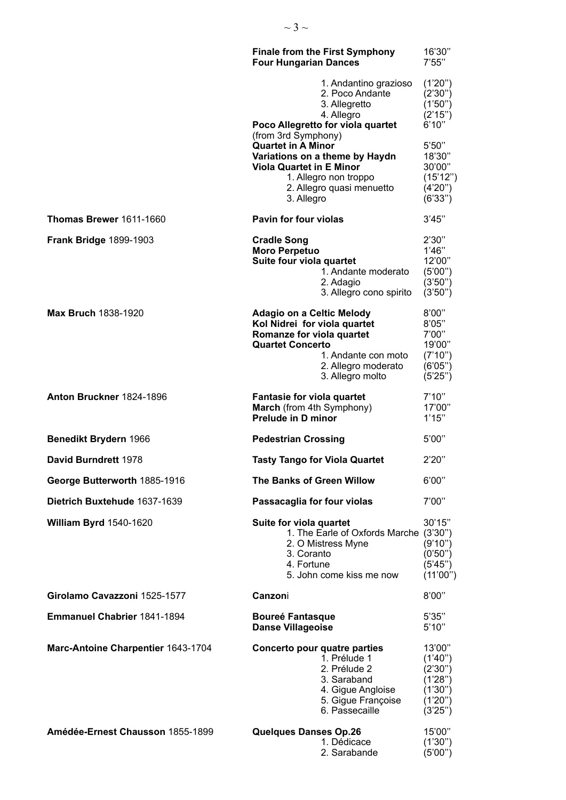|                                    | <b>Finale from the First Symphony</b><br><b>Four Hungarian Dances</b>                                                                                                                      | 16'30"<br>7'55"                                                              |
|------------------------------------|--------------------------------------------------------------------------------------------------------------------------------------------------------------------------------------------|------------------------------------------------------------------------------|
|                                    | 1. Andantino grazioso<br>2. Poco Andante<br>3. Allegretto<br>4. Allegro<br>Poco Allegretto for viola quartet<br>(from 3rd Symphony)                                                        | (1'20'')<br>(2'30'')<br>(1'50")<br>(2'15'')<br>6'10''                        |
|                                    | <b>Quartet in A Minor</b><br>Variations on a theme by Haydn<br><b>Viola Quartet in E Minor</b><br>1. Allegro non troppo<br>2. Allegro quasi menuetto<br>3. Allegro                         | 5'50"<br>18'30"<br>30'00"<br>(15'12'')<br>(4'20'')<br>(6'33")                |
| Thomas Brewer 1611-1660            | <b>Pavin for four violas</b>                                                                                                                                                               | 3'45''                                                                       |
| <b>Frank Bridge 1899-1903</b>      | <b>Cradle Song</b><br><b>Moro Perpetuo</b><br>Suite four viola quartet<br>1. Andante moderato<br>2. Adagio<br>3. Allegro cono spirito                                                      | 2'30"<br>1'46"<br>12'00"<br>(5'00'')<br>(3'50'')<br>(3'50'')                 |
| <b>Max Bruch 1838-1920</b>         | <b>Adagio on a Celtic Melody</b><br>Kol Nidrei for viola quartet<br>Romanze for viola quartet<br><b>Quartet Concerto</b><br>1. Andante con moto<br>2. Allegro moderato<br>3. Allegro molto | 8'00"<br>8'05"<br>7'00"<br>19'00"<br>(7'10'')<br>(6'05'')<br>(5'25'')        |
| Anton Bruckner 1824-1896           | Fantasie for viola quartet<br>March (from 4th Symphony)<br><b>Prelude in D minor</b>                                                                                                       | 7'10''<br>17'00"<br>1'15"                                                    |
| Benedikt Brydern 1966              | <b>Pedestrian Crossing</b>                                                                                                                                                                 | 5'00"                                                                        |
| David Burndrett 1978               | <b>Tasty Tango for Viola Quartet</b>                                                                                                                                                       | 2'20"                                                                        |
| George Butterworth 1885-1916       | The Banks of Green Willow                                                                                                                                                                  | 6'00"                                                                        |
| Dietrich Buxtehude 1637-1639       | Passacaglia for four violas                                                                                                                                                                | 7'00"                                                                        |
| <b>William Byrd 1540-1620</b>      | Suite for viola quartet<br>1. The Earle of Oxfords Marche (3'30")<br>2. O Mistress Myne<br>3. Coranto<br>4. Fortune<br>5. John come kiss me now                                            | 30'15"<br>(9'10")<br>(0'50")<br>(5'45'')<br>(11'00'')                        |
| Girolamo Cavazzoni 1525-1577       | Canzoni                                                                                                                                                                                    | 8'00"                                                                        |
| <b>Emmanuel Chabrier 1841-1894</b> | <b>Boureé Fantasque</b><br><b>Danse Villageoise</b>                                                                                                                                        | 5'35"<br>5'10''                                                              |
| Marc-Antoine Charpentier 1643-1704 | Concerto pour quatre parties<br>1. Prélude 1<br>2. Prélude 2<br>3. Saraband<br>4. Gigue Angloise<br>5. Gigue Françoise<br>6. Passecaille                                                   | 13'00"<br>(1'40'')<br>(2'30'')<br>(1'28")<br>(1'30")<br>(1'20'')<br>(3'25'') |
| Amédée-Ernest Chausson 1855-1899   | <b>Quelques Danses Op.26</b><br>1. Dédicace<br>2. Sarabande                                                                                                                                | 15'00"<br>(1'30'')<br>(5'00'')                                               |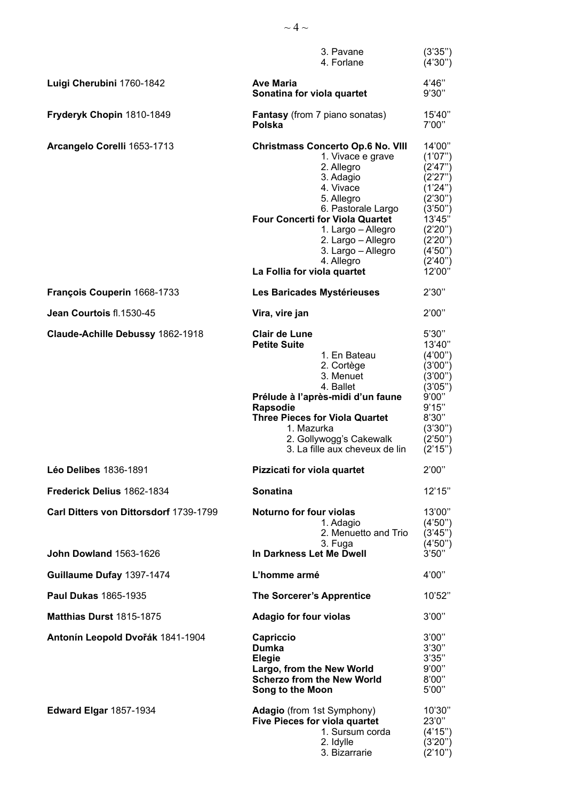|                                                                         | 3. Pavane<br>4. Forlane                                                                                                                                                                                                                                                                            | (3'35'')<br>(4'30'')                                                                                                                             |
|-------------------------------------------------------------------------|----------------------------------------------------------------------------------------------------------------------------------------------------------------------------------------------------------------------------------------------------------------------------------------------------|--------------------------------------------------------------------------------------------------------------------------------------------------|
| Luigi Cherubini 1760-1842                                               | <b>Ave Maria</b><br>Sonatina for viola quartet                                                                                                                                                                                                                                                     | 4'46"<br>9'30"                                                                                                                                   |
| Fryderyk Chopin 1810-1849                                               | <b>Fantasy</b> (from 7 piano sonatas)<br>Polska                                                                                                                                                                                                                                                    | 15'40"<br>7'00"                                                                                                                                  |
| Arcangelo Corelli 1653-1713                                             | <b>Christmass Concerto Op.6 No. VIII</b><br>1. Vivace e grave<br>2. Allegro<br>3. Adagio<br>4. Vivace<br>5. Allegro<br>6. Pastorale Largo<br><b>Four Concerti for Viola Quartet</b><br>1. Largo - Allegro<br>2. Largo - Allegro<br>3. Largo - Allegro<br>4. Allegro<br>La Follia for viola quartet | 14'00''<br>(1'07")<br>(2'47")<br>(2'27")<br>(1'24'')<br>(2'30'')<br>(3'50'')<br>13'45"<br>(2'20'')<br>(2'20'')<br>(4'50'')<br>(2'40'')<br>12'00" |
| François Couperin 1668-1733                                             | Les Baricades Mystérieuses                                                                                                                                                                                                                                                                         | 2'30"                                                                                                                                            |
| Jean Courtois fl.1530-45                                                | Vira, vire jan                                                                                                                                                                                                                                                                                     | 2'00"                                                                                                                                            |
| Claude-Achille Debussy 1862-1918                                        | <b>Clair de Lune</b><br><b>Petite Suite</b><br>1. En Bateau<br>2. Cortège<br>3. Menuet<br>4. Ballet<br>Prélude à l'après-midi d'un faune<br>Rapsodie<br><b>Three Pieces for Viola Quartet</b><br>1. Mazurka<br>2. Gollywogg's Cakewalk<br>3. La fille aux cheveux de lin                           | 5'30''<br>13'40"<br>(4'00'')<br>(3'00'')<br>(3'00'')<br>(3'05'')<br>9'00"<br>9'15"<br>8'30"<br>(3'30'')<br>(2'50'')<br>(2'15'')                  |
| Léo Delibes 1836-1891                                                   | Pizzicati for viola quartet                                                                                                                                                                                                                                                                        | 2'00"                                                                                                                                            |
| Frederick Delius 1862-1834                                              | <b>Sonatina</b>                                                                                                                                                                                                                                                                                    | 12'15"                                                                                                                                           |
| Carl Ditters von Dittorsdorf 1739-1799<br><b>John Dowland 1563-1626</b> | Noturno for four violas<br>1. Adagio<br>2. Menuetto and Trio<br>3. Fuga<br>In Darkness Let Me Dwell                                                                                                                                                                                                | 13'00"<br>(4'50'')<br>(3'45'')<br>(4'50'')<br>3'50''                                                                                             |
| Guillaume Dufay 1397-1474                                               | L'homme armé                                                                                                                                                                                                                                                                                       | 4'00"                                                                                                                                            |
| <b>Paul Dukas 1865-1935</b>                                             | <b>The Sorcerer's Apprentice</b>                                                                                                                                                                                                                                                                   | 10'52"                                                                                                                                           |
| Matthias Durst 1815-1875                                                | <b>Adagio for four violas</b>                                                                                                                                                                                                                                                                      | 3'00"                                                                                                                                            |
| Antonín Leopold Dvořák 1841-1904                                        | Capriccio<br><b>Dumka</b><br>Elegie<br>Largo, from the New World<br><b>Scherzo from the New World</b><br>Song to the Moon                                                                                                                                                                          | 3'00"<br>3'30''<br>3'35"<br>9'00"<br>8'00"<br>5'00"                                                                                              |
| <b>Edward Elgar 1857-1934</b>                                           | <b>Adagio</b> (from 1st Symphony)<br><b>Five Pieces for viola quartet</b><br>1. Sursum corda<br>2. Idylle<br>3. Bizarrarie                                                                                                                                                                         | 10'30"<br>23'0"<br>(4'15'')<br>(3'20'')<br>(2'10'')                                                                                              |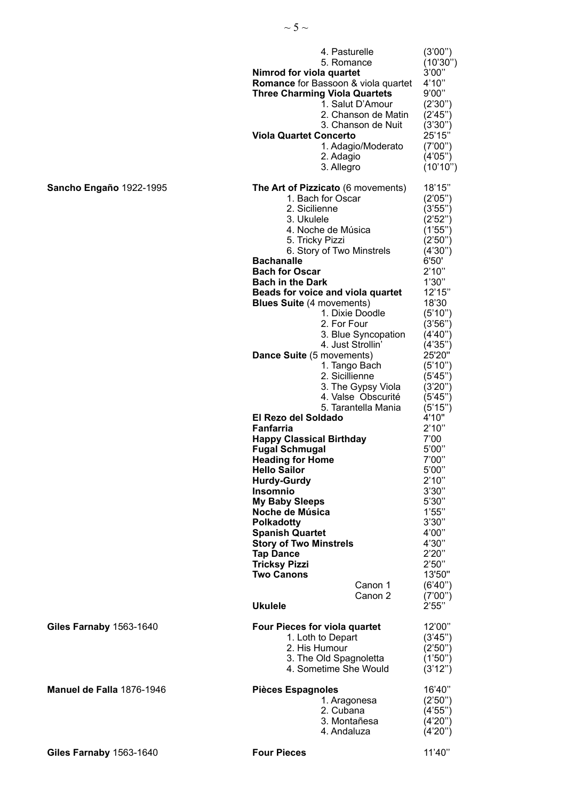|                                | 4. Pasturelle<br>5. Romance<br>Nimrod for viola quartet<br><b>Romance</b> for Bassoon & viola quartet<br><b>Three Charming Viola Quartets</b><br>1. Salut D'Amour<br>2. Chanson de Matin<br>3. Chanson de Nuit<br><b>Viola Quartet Concerto</b><br>1. Adagio/Moderato<br>2. Adagio<br>3. Allegro                                                                                                                                                                                                                                                                                                                                | (3'00'')<br>(10'30")<br>3'00"<br>4'10''<br>9'00"<br>(2'30'')<br>(2'45")<br>(3'30'')<br>25'15"<br>(7'00'')<br>(4'05'')<br>(10'10'')                                                                                                                                                 |
|--------------------------------|---------------------------------------------------------------------------------------------------------------------------------------------------------------------------------------------------------------------------------------------------------------------------------------------------------------------------------------------------------------------------------------------------------------------------------------------------------------------------------------------------------------------------------------------------------------------------------------------------------------------------------|------------------------------------------------------------------------------------------------------------------------------------------------------------------------------------------------------------------------------------------------------------------------------------|
| Sancho Engaño 1922-1995        | The Art of Pizzicato (6 movements)<br>1. Bach for Oscar<br>2. Sicilienne<br>3. Ukulele<br>4. Noche de Música<br>5. Tricky Pizzi<br>6. Story of Two Minstrels<br><b>Bachanalle</b><br><b>Bach for Oscar</b><br><b>Bach in the Dark</b><br>Beads for voice and viola quartet<br><b>Blues Suite (4 movements)</b><br>1. Dixie Doodle<br>2. For Four<br>3. Blue Syncopation<br>4. Just Strollin'<br>Dance Suite (5 movements)<br>1. Tango Bach<br>2. Sicillienne<br>3. The Gypsy Viola<br>4. Valse Obscurité<br>5. Tarantella Mania<br>El Rezo del Soldado<br>Fanfarria<br><b>Happy Classical Birthday</b><br><b>Fugal Schmugal</b> | 18'15"<br>(2'05'')<br>(3'55'')<br>(2'52")<br>(1'55")<br>(2'50")<br>(4'30'')<br>6'50'<br>2'10''<br>1'30"<br>12'15"<br>18'30<br>(5'10'')<br>(3'56'')<br>(4'40'')<br>(4'35")<br>25'20"<br>(5'10'')<br>(5'45'')<br>(3'20'')<br>(5'45")<br>(5'15'')<br>4'10"<br>2'10''<br>7'00<br>5'00" |
|                                | <b>Heading for Home</b><br><b>Hello Sailor</b><br><b>Hurdy-Gurdy</b><br><b>Insomnio</b>                                                                                                                                                                                                                                                                                                                                                                                                                                                                                                                                         | 7'00"<br>5'00"<br>2'10''<br>3'30''                                                                                                                                                                                                                                                 |
|                                | <b>My Baby Sleeps</b><br>Noche de Música<br><b>Polkadotty</b><br><b>Spanish Quartet</b><br><b>Story of Two Minstrels</b><br><b>Tap Dance</b><br><b>Tricksy Pizzi</b><br><b>Two Canons</b><br>Canon 1<br>Canon 2<br><b>Ukulele</b>                                                                                                                                                                                                                                                                                                                                                                                               | 5'30"<br>1'55"<br>3'30"<br>4'00"<br>4'30"<br>2'20"<br>2'50''<br>13'50"<br>(6'40'')<br>(7'00")<br>2'55"                                                                                                                                                                             |
| <b>Giles Farnaby 1563-1640</b> | <b>Four Pieces for viola quartet</b><br>1. Loth to Depart<br>2. His Humour                                                                                                                                                                                                                                                                                                                                                                                                                                                                                                                                                      | 12'00"<br>(3'45'')<br>(2'50'')                                                                                                                                                                                                                                                     |
|                                | 3. The Old Spagnoletta<br>4. Sometime She Would                                                                                                                                                                                                                                                                                                                                                                                                                                                                                                                                                                                 | (1'50")<br>(3'12'')                                                                                                                                                                                                                                                                |
| Manuel de Falla 1876-1946      | <b>Pièces Espagnoles</b><br>1. Aragonesa<br>2. Cubana<br>3. Montañesa<br>4. Andaluza                                                                                                                                                                                                                                                                                                                                                                                                                                                                                                                                            | 16'40"<br>(2'50'')<br>(4'55'')<br>(4'20'')<br>(4'20'')                                                                                                                                                                                                                             |
| Giles Farnaby 1563-1640        | <b>Four Pieces</b>                                                                                                                                                                                                                                                                                                                                                                                                                                                                                                                                                                                                              | 11'40"                                                                                                                                                                                                                                                                             |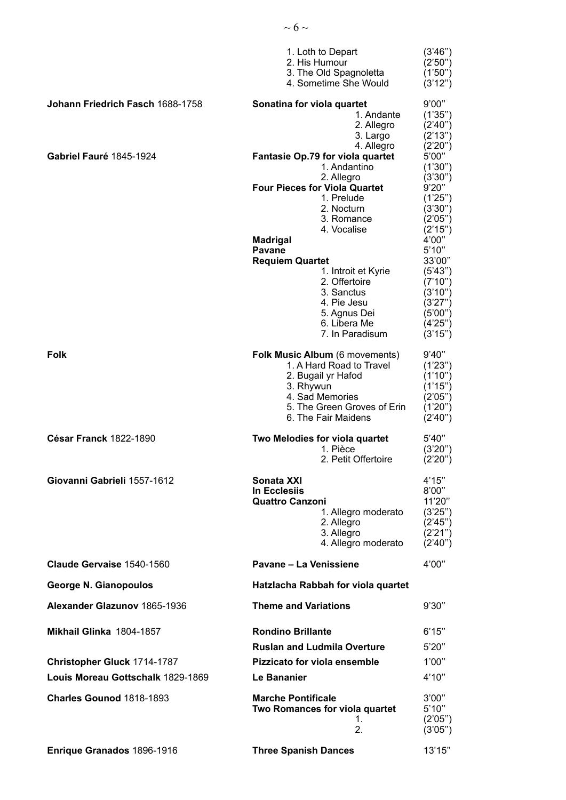|                                   | 1. Loth to Depart<br>2. His Humour<br>3. The Old Spagnoletta<br>4. Sometime She Would                                                                                  | (3'46'')<br>(2'50'')<br>(1'50'')<br>(3'12'')                                  |
|-----------------------------------|------------------------------------------------------------------------------------------------------------------------------------------------------------------------|-------------------------------------------------------------------------------|
| Johann Friedrich Fasch 1688-1758  | Sonatina for viola quartet<br>1. Andante<br>2. Allegro<br>3. Largo<br>4. Allegro                                                                                       | 9'00"<br>(1'35")<br>(2'40'')<br>(2'13'')<br>(2'20'')                          |
| Gabriel Fauré 1845-1924           | Fantasie Op.79 for viola quartet<br>1. Andantino<br>2. Allegro<br><b>Four Pieces for Viola Quartet</b>                                                                 | 5'00"<br>(1'30'')<br>(3'30'')<br>9'20"                                        |
|                                   | 1. Prelude<br>2. Nocturn<br>3. Romance<br>4. Vocalise                                                                                                                  | (1'25")<br>(3'30'')<br>(2'05'')<br>(2'15'')                                   |
|                                   | <b>Madrigal</b><br>Pavane                                                                                                                                              | 4'00"                                                                         |
|                                   | <b>Requiem Quartet</b>                                                                                                                                                 | 5'10''<br>33'00"                                                              |
|                                   | 1. Introit et Kyrie<br>2. Offertoire<br>3. Sanctus<br>4. Pie Jesu<br>5. Agnus Dei<br>6. Libera Me                                                                      | (5'43'')<br>(7'10'')<br>(3'10'')<br>(3'27'')<br>(5'00'')<br>(4'25'')          |
|                                   | 7. In Paradisum                                                                                                                                                        | (3'15'')                                                                      |
| <b>Folk</b>                       | Folk Music Album (6 movements)<br>1. A Hard Road to Travel<br>2. Bugail yr Hafod<br>3. Rhywun<br>4. Sad Memories<br>5. The Green Groves of Erin<br>6. The Fair Maidens | 9'40''<br>(1'23'')<br>(1'10'')<br>(1'15")<br>(2'05'')<br>(1'20'')<br>(2'40'') |
| César Franck 1822-1890            | Two Melodies for viola quartet<br>1. Pièce<br>2. Petit Offertoire                                                                                                      | 5'40''<br>(3'20'')<br>(2'20'')                                                |
| Giovanni Gabrieli 1557-1612       | Sonata XXI<br><b>In Ecclesiis</b><br><b>Quattro Canzoni</b><br>1. Allegro moderato<br>2. Allegro<br>3. Allegro<br>4. Allegro moderato                                  | 4'15"<br>8'00"<br>11'20"<br>(3'25'')<br>(2'45'')<br>(2'21'')<br>(2'40'')      |
| Claude Gervaise 1540-1560         | Pavane - La Venissiene                                                                                                                                                 | 4'00"                                                                         |
| <b>George N. Gianopoulos</b>      | Hatzlacha Rabbah for viola quartet                                                                                                                                     |                                                                               |
| Alexander Glazunov 1865-1936      | <b>Theme and Variations</b>                                                                                                                                            | 9'30"                                                                         |
| Mikhail Glinka 1804-1857          | <b>Rondino Brillante</b>                                                                                                                                               | 6'15"                                                                         |
|                                   | <b>Ruslan and Ludmila Overture</b>                                                                                                                                     | 5'20"                                                                         |
| Christopher Gluck 1714-1787       | Pizzicato for viola ensemble                                                                                                                                           | 1'00"                                                                         |
| Louis Moreau Gottschalk 1829-1869 | Le Bananier                                                                                                                                                            | 4'10''                                                                        |
| Charles Gounod 1818-1893          | <b>Marche Pontificale</b><br>Two Romances for viola quartet<br>1.<br>2.                                                                                                | 3'00"<br>5'10"<br>(2'05'')<br>(3'05'')                                        |
| Enrique Granados 1896-1916        | <b>Three Spanish Dances</b>                                                                                                                                            | 13'15"                                                                        |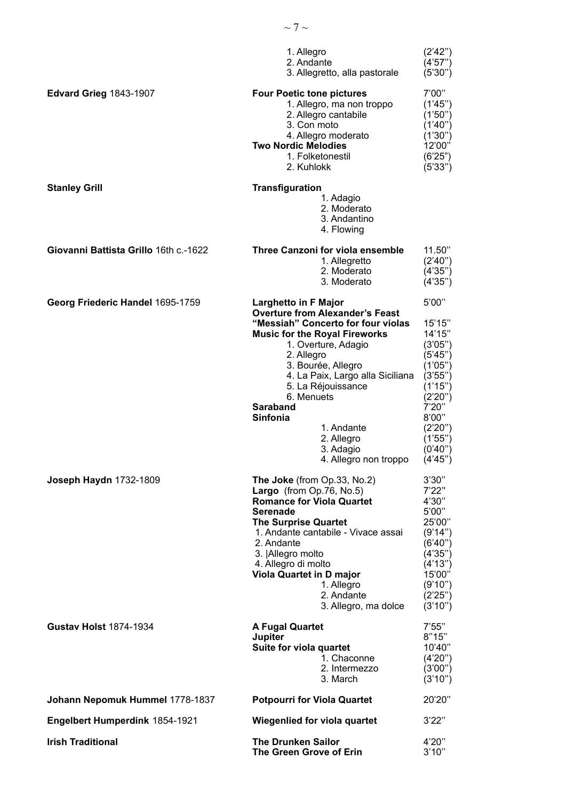|                                       | 1. Allegro<br>2. Andante<br>3. Allegretto, alla pastorale                                                                                                                                                                                                                                                                                                                               | (2'42'')<br>(4'57'')<br>(5'30'')                                                                                                                                   |
|---------------------------------------|-----------------------------------------------------------------------------------------------------------------------------------------------------------------------------------------------------------------------------------------------------------------------------------------------------------------------------------------------------------------------------------------|--------------------------------------------------------------------------------------------------------------------------------------------------------------------|
| <b>Edvard Grieg 1843-1907</b>         | <b>Four Poetic tone pictures</b><br>1. Allegro, ma non troppo<br>2. Allegro cantabile<br>3. Con moto<br>4. Allegro moderato<br><b>Two Nordic Melodies</b><br>1. Folketonestil<br>2. Kuhlokk                                                                                                                                                                                             | 7'00"<br>(1'45'')<br>(1'50'')<br>(1'40'')<br>(1'30")<br>12'00"<br>(6'25")<br>(5'33'')                                                                              |
| <b>Stanley Grill</b>                  | <b>Transfiguration</b><br>1. Adagio<br>2. Moderato<br>3. Andantino<br>4. Flowing                                                                                                                                                                                                                                                                                                        |                                                                                                                                                                    |
| Giovanni Battista Grillo 16th c.-1622 | Three Canzoni for viola ensemble<br>1. Allegretto<br>2. Moderato<br>3. Moderato                                                                                                                                                                                                                                                                                                         | 11.50"<br>(2'40'')<br>(4'35'')<br>(4'35'')                                                                                                                         |
| Georg Friederic Handel 1695-1759      | <b>Larghetto in F Major</b><br><b>Overture from Alexander's Feast</b><br>"Messiah" Concerto for four violas<br><b>Music for the Royal Fireworks</b><br>1. Overture, Adagio<br>2. Allegro<br>3. Bourée, Allegro<br>4. La Paix, Largo alla Siciliana<br>5. La Réjouissance<br>6. Menuets<br><b>Saraband</b><br>Sinfonia<br>1. Andante<br>2. Allegro<br>3. Adagio<br>4. Allegro non troppo | 5'00"<br>15'15"<br>14'15"<br>(3'05'')<br>(5'45'')<br>(1'05'')<br>(3'55'')<br>(1'15")<br>(2'20'')<br>7'20"<br>8'00"<br>(2'20'')<br>(1'55'')<br>(0'40'')<br>(4'45'') |
| Joseph Haydn 1732-1809                | The Joke (from Op.33, No.2)<br>Largo (from Op.76, No.5)<br><b>Romance for Viola Quartet</b><br><b>Serenade</b><br><b>The Surprise Quartet</b><br>1. Andante cantabile - Vivace assai<br>2. Andante<br>3. Allegro molto<br>4. Allegro di molto<br>Viola Quartet in D major<br>1. Allegro<br>2. Andante<br>3. Allegro, ma dolce                                                           | 3'30"<br>7'22"<br>4'30"<br>5'00"<br>25'00"<br>(9'14'')<br>(6'40'')<br>(4'35")<br>(4'13'')<br>15'00"<br>(9'10'')<br>(2'25'')<br>(3'10'')                            |
| <b>Gustav Holst 1874-1934</b>         | <b>A Fugal Quartet</b><br>Jupiter<br>Suite for viola quartet<br>1. Chaconne<br>2. Intermezzo<br>3. March                                                                                                                                                                                                                                                                                | 7'55"<br>8"15"<br>10'40"<br>(4'20'')<br>(3'00'')<br>(3'10'')                                                                                                       |
| Johann Nepomuk Hummel 1778-1837       | <b>Potpourri for Viola Quartet</b>                                                                                                                                                                                                                                                                                                                                                      | 20'20"                                                                                                                                                             |
| Engelbert Humperdink 1854-1921        | Wiegenlied for viola quartet                                                                                                                                                                                                                                                                                                                                                            | 3'22"                                                                                                                                                              |
| <b>Irish Traditional</b>              | <b>The Drunken Sailor</b><br>The Green Grove of Erin                                                                                                                                                                                                                                                                                                                                    | 4'20"<br>3'10''                                                                                                                                                    |

 $\sim$  7  $\sim$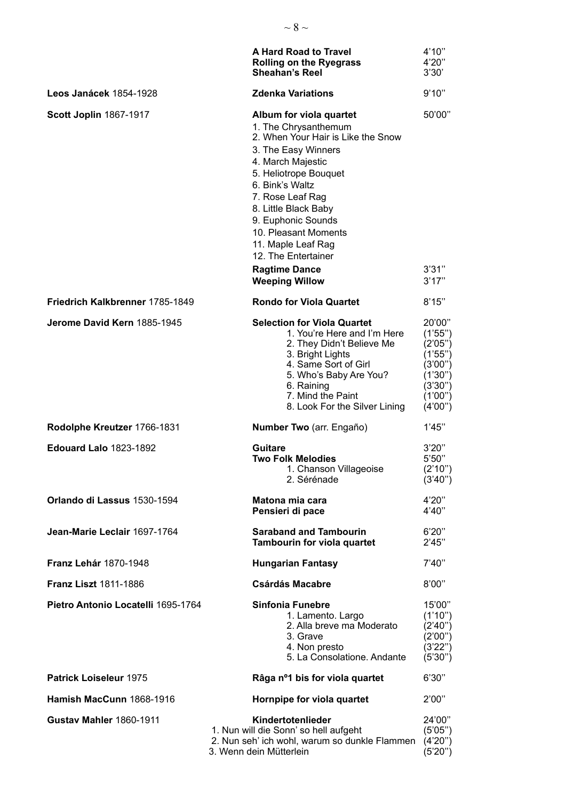|                                    | <b>A Hard Road to Travel</b><br><b>Rolling on the Ryegrass</b><br><b>Sheahan's Reel</b>                                                                                                                                                                                                                                                                               | 4'10''<br>4'20"<br>3'30'                                                                            |
|------------------------------------|-----------------------------------------------------------------------------------------------------------------------------------------------------------------------------------------------------------------------------------------------------------------------------------------------------------------------------------------------------------------------|-----------------------------------------------------------------------------------------------------|
| Leos Janácek 1854-1928             | <b>Zdenka Variations</b>                                                                                                                                                                                                                                                                                                                                              | 9'10"                                                                                               |
| <b>Scott Joplin 1867-1917</b>      | Album for viola quartet<br>1. The Chrysanthemum<br>2. When Your Hair is Like the Snow<br>3. The Easy Winners<br>4. March Majestic<br>5. Heliotrope Bouquet<br>6. Bink's Waltz<br>7. Rose Leaf Rag<br>8. Little Black Baby<br>9. Euphonic Sounds<br>10. Pleasant Moments<br>11. Maple Leaf Rag<br>12. The Entertainer<br><b>Ragtime Dance</b><br><b>Weeping Willow</b> | 50'00"<br>3'31"<br>3'17''                                                                           |
| Friedrich Kalkbrenner 1785-1849    | <b>Rondo for Viola Quartet</b>                                                                                                                                                                                                                                                                                                                                        | 8'15"                                                                                               |
| Jerome David Kern 1885-1945        | <b>Selection for Viola Quartet</b><br>1. You're Here and I'm Here<br>2. They Didn't Believe Me<br>3. Bright Lights<br>4. Same Sort of Girl<br>5. Who's Baby Are You?<br>6. Raining<br>7. Mind the Paint<br>8. Look For the Silver Lining                                                                                                                              | 20'00"<br>(1'55")<br>(2'05'')<br>(1'55'')<br>(3'00")<br>(1'30'')<br>(3'30'')<br>(1'00")<br>(4'00'') |
| Rodolphe Kreutzer 1766-1831        | Number Two (arr. Engaño)                                                                                                                                                                                                                                                                                                                                              | 1'45"                                                                                               |
| <b>Edouard Lalo 1823-1892</b>      | Guitare<br><b>Two Folk Melodies</b><br>1. Chanson Villageoise<br>2. Sérénade                                                                                                                                                                                                                                                                                          | 3'20''<br>5'50"<br>(2'10'')<br>(3'40'')                                                             |
| Orlando di Lassus 1530-1594        | Matona mia cara<br>Pensieri di pace                                                                                                                                                                                                                                                                                                                                   | 4'20"<br>4'40"                                                                                      |
| Jean-Marie Leclair 1697-1764       | <b>Saraband and Tambourin</b><br>Tambourin for viola quartet                                                                                                                                                                                                                                                                                                          | 6'20''<br>2'45"                                                                                     |
| <b>Franz Lehár 1870-1948</b>       | <b>Hungarian Fantasy</b>                                                                                                                                                                                                                                                                                                                                              | 7'40''                                                                                              |
| <b>Franz Liszt 1811-1886</b>       | <b>Csárdás Macabre</b>                                                                                                                                                                                                                                                                                                                                                | 8'00"                                                                                               |
| Pietro Antonio Locatelli 1695-1764 | <b>Sinfonia Funebre</b><br>1. Lamento. Largo<br>2. Alla breve ma Moderato<br>3. Grave<br>4. Non presto<br>5. La Consolatione. Andante                                                                                                                                                                                                                                 | 15'00"<br>(1'10'')<br>(2'40")<br>(2'00")<br>(3'22'')<br>(5'30'')                                    |
| <b>Patrick Loiseleur 1975</b>      | Râga nº1 bis for viola quartet                                                                                                                                                                                                                                                                                                                                        | 6'30"                                                                                               |
| Hamish MacCunn 1868-1916           | Hornpipe for viola quartet                                                                                                                                                                                                                                                                                                                                            | 2'00"                                                                                               |
| <b>Gustav Mahler 1860-1911</b>     | Kindertotenlieder<br>1. Nun will die Sonn' so hell aufgeht<br>2. Nun seh' ich wohl, warum so dunkle Flammen<br>3. Wenn dein Mütterlein                                                                                                                                                                                                                                | 24'00"<br>(5'05'')<br>(4'20'')<br>(5'20'')                                                          |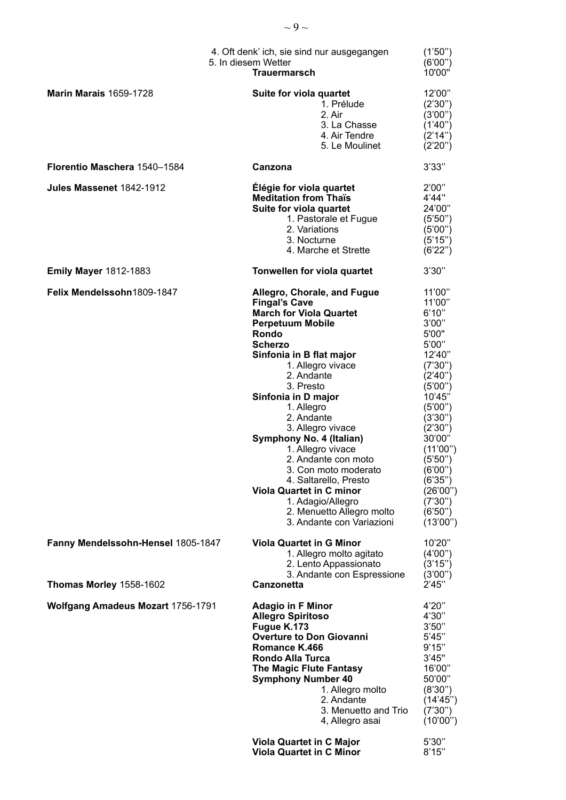|                                          | 4. Oft denk' ich, sie sind nur ausgegangen<br>5. In diesem Wetter<br><b>Trauermarsch</b>                                                                                                                                                                                                                                                                                                                                                                                                                                                   | (1'50'')<br>(6'00'')<br>10'00"                                                                                                                                                                                                                                |
|------------------------------------------|--------------------------------------------------------------------------------------------------------------------------------------------------------------------------------------------------------------------------------------------------------------------------------------------------------------------------------------------------------------------------------------------------------------------------------------------------------------------------------------------------------------------------------------------|---------------------------------------------------------------------------------------------------------------------------------------------------------------------------------------------------------------------------------------------------------------|
| <b>Marin Marais 1659-1728</b>            | Suite for viola quartet<br>1. Prélude<br>2. Air<br>3. La Chasse<br>4. Air Tendre<br>5. Le Moulinet                                                                                                                                                                                                                                                                                                                                                                                                                                         | 12'00"<br>(2'30'')<br>(3'00'')<br>(1'40'')<br>(2'14'')<br>(2'20'')                                                                                                                                                                                            |
| Florentio Maschera 1540-1584             | Canzona                                                                                                                                                                                                                                                                                                                                                                                                                                                                                                                                    | 3'33"                                                                                                                                                                                                                                                         |
| Jules Massenet 1842-1912                 | Élégie for viola quartet<br><b>Meditation from Thaïs</b><br>Suite for viola quartet<br>1. Pastorale et Fugue<br>2. Variations<br>3. Nocturne<br>4. Marche et Strette                                                                                                                                                                                                                                                                                                                                                                       | 2'00"<br>4'44"<br>24'00"<br>(5'50'')<br>(5'00'')<br>(5'15'')<br>(6'22'')                                                                                                                                                                                      |
| <b>Emily Mayer 1812-1883</b>             | Tonwellen for viola quartet                                                                                                                                                                                                                                                                                                                                                                                                                                                                                                                | 3'30"                                                                                                                                                                                                                                                         |
| Felix Mendelssohn1809-1847               | Allegro, Chorale, and Fugue<br><b>Fingal's Cave</b><br><b>March for Viola Quartet</b><br><b>Perpetuum Mobile</b><br>Rondo<br><b>Scherzo</b><br>Sinfonia in B flat major<br>1. Allegro vivace<br>2. Andante<br>3. Presto<br>Sinfonia in D major<br>1. Allegro<br>2. Andante<br>3. Allegro vivace<br>Symphony No. 4 (Italian)<br>1. Allegro vivace<br>2. Andante con moto<br>3. Con moto moderato<br>4. Saltarello, Presto<br><b>Viola Quartet in C minor</b><br>1. Adagio/Allegro<br>2. Menuetto Allegro molto<br>3. Andante con Variazioni | 11'00"<br>11'00"<br>6'10''<br>3'00"<br>5'00"<br>5'00"<br>12'40"<br>(7'30'')<br>(2'40'')<br>(5'00'')<br>10'45"<br>(5'00'')<br>(3'30'')<br>(2'30'')<br>30'00"<br>(11'00'')<br>(5'50'')<br>(6'00'')<br>(6'35")<br>(26'00'')<br>(7'30'')<br>(6'50'')<br>(13'00'') |
| Fanny Mendelssohn-Hensel 1805-1847       | <b>Viola Quartet in G Minor</b><br>1. Allegro molto agitato<br>2. Lento Appassionato<br>3. Andante con Espressione                                                                                                                                                                                                                                                                                                                                                                                                                         | 10'20"<br>(4'00'')<br>(3'15'')<br>(3'00")                                                                                                                                                                                                                     |
| Thomas Morley 1558-1602                  | <b>Canzonetta</b>                                                                                                                                                                                                                                                                                                                                                                                                                                                                                                                          | 2'45"                                                                                                                                                                                                                                                         |
| <b>Wolfgang Amadeus Mozart 1756-1791</b> | <b>Adagio in F Minor</b><br><b>Allegro Spiritoso</b><br>Fugue K.173<br><b>Overture to Don Giovanni</b><br>Romance K.466<br>Rondo Alla Turca<br>The Magic Flute Fantasy<br><b>Symphony Number 40</b><br>1. Allegro molto<br>2. Andante<br>3. Menuetto and Trio<br>4, Allegro asai                                                                                                                                                                                                                                                           | 4'20"<br>4'30"<br>3'50''<br>5'45"<br>9'15"<br>3'45"<br>16'00"<br>50'00"<br>(8'30'')<br>(14'45'')<br>(7'30'')<br>(10'00'')                                                                                                                                     |
|                                          | <b>Viola Quartet in C Major</b><br><b>Viola Quartet in C Minor</b>                                                                                                                                                                                                                                                                                                                                                                                                                                                                         | 5'30''<br>8'15"                                                                                                                                                                                                                                               |

 $\sim$  9  $\sim$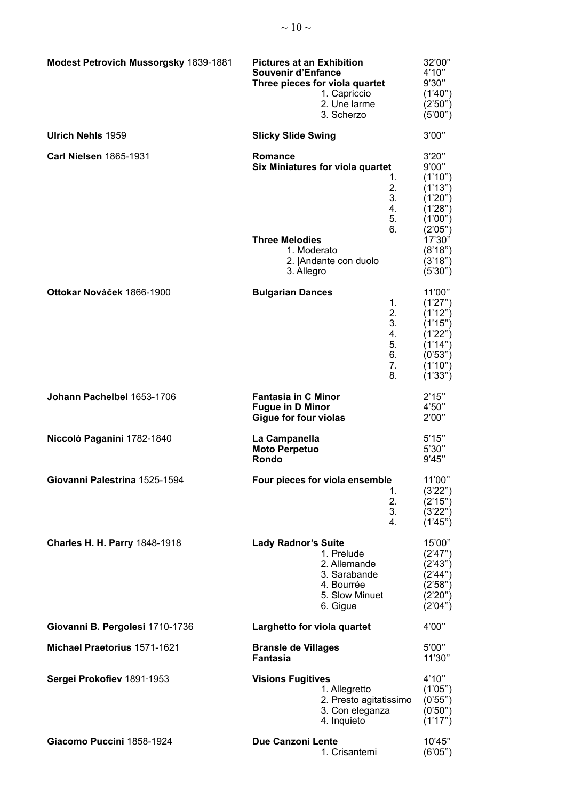| Modest Petrovich Mussorgsky 1839-1881 | <b>Pictures at an Exhibition</b><br><b>Souvenir d'Enfance</b><br>Three pieces for viola quartet<br>1. Capriccio<br>2. Une larme<br>3. Scherzo | 32'00"<br>4'10"<br>9'30"<br>(1'40'')<br>(2'50'')<br>(5'00'')                                       |
|---------------------------------------|-----------------------------------------------------------------------------------------------------------------------------------------------|----------------------------------------------------------------------------------------------------|
| <b>Ulrich Nehls 1959</b>              | <b>Slicky Slide Swing</b>                                                                                                                     | 3'00"                                                                                              |
| <b>Carl Nielsen 1865-1931</b>         | Romance<br><b>Six Miniatures for viola quartet</b><br>1.<br>2.<br>3.<br>4.<br>5.<br>6.                                                        | 3'20''<br>9'00"<br>(1'10'')<br>(1'13'')<br>(1'20'')<br>(1'28")<br>(1'00'')<br>(2'05'')             |
|                                       | <b>Three Melodies</b><br>1. Moderato<br>2.   Andante con duolo<br>3. Allegro                                                                  | 17'30"<br>(8'18'')<br>(3'18")<br>(5'30'')                                                          |
| Ottokar Nováček 1866-1900             | <b>Bulgarian Dances</b><br>1.<br>2.<br>3.<br>4.<br>5.<br>6.<br>7.<br>8.                                                                       | 11'00"<br>(1'27")<br>(1'12")<br>(1'15")<br>(1'22'')<br>(1'14'')<br>(0'53'')<br>(1'10'')<br>(1'33") |
| Johann Pachelbel 1653-1706            | <b>Fantasia in C Minor</b><br><b>Fugue in D Minor</b><br><b>Gigue for four violas</b>                                                         | 2'15"<br>4'50"<br>2'00"                                                                            |
| Niccolò Paganini 1782-1840            | La Campanella<br><b>Moto Perpetuo</b><br>Rondo                                                                                                | 5'15"<br>5'30''<br>9'45"                                                                           |
| Giovanni Palestrina 1525-1594         | Four pieces for viola ensemble<br>1.<br>2.<br>3.<br>4.                                                                                        | 11'00"<br>(3'22'')<br>(2'15'')<br>(3'22'')<br>(1'45'')                                             |
| <b>Charles H. H. Parry 1848-1918</b>  | <b>Lady Radnor's Suite</b><br>1. Prelude<br>2. Allemande<br>3. Sarabande<br>4. Bourrée<br>5. Slow Minuet<br>6. Gigue                          | 15'00"<br>(2'47")<br>(2'43'')<br>(2'44'')<br>(2'58'')<br>(2'20'')<br>(2'04'')                      |
| Giovanni B. Pergolesi 1710-1736       | Larghetto for viola quartet                                                                                                                   | 4'00"                                                                                              |
| Michael Praetorius 1571-1621          | <b>Bransle de Villages</b><br><b>Fantasia</b>                                                                                                 | 5'00"<br>11'30"                                                                                    |
| Sergei Prokofiev 1891-1953            | <b>Visions Fugitives</b><br>1. Allegretto<br>2. Presto agitatissimo<br>3. Con eleganza<br>4. Inquieto                                         | 4'10''<br>(1'05'')<br>(0'55")<br>(0'50'')<br>(1'17")                                               |
| Giacomo Puccini 1858-1924             | <b>Due Canzoni Lente</b><br>1. Crisantemi                                                                                                     | 10'45"<br>(6'05'')                                                                                 |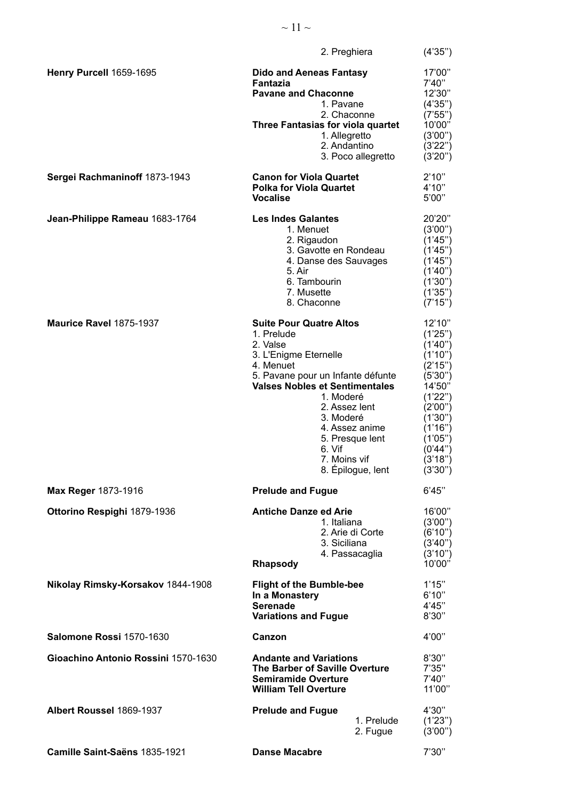|                                     | 2. Preghiera                                                                                                                                                                                                                                                                                                | (4'35")                                                                                                                                                                 |
|-------------------------------------|-------------------------------------------------------------------------------------------------------------------------------------------------------------------------------------------------------------------------------------------------------------------------------------------------------------|-------------------------------------------------------------------------------------------------------------------------------------------------------------------------|
| Henry Purcell 1659-1695             | <b>Dido and Aeneas Fantasy</b><br><b>Fantazia</b><br><b>Pavane and Chaconne</b><br>1. Pavane<br>2. Chaconne<br><b>Three Fantasias for viola quartet</b><br>1. Allegretto<br>2. Andantino<br>3. Poco allegretto                                                                                              | 17'00"<br>7'40"<br>12'30"<br>(4'35'')<br>(7'55'')<br>10'00"<br>(3'00'')<br>(3'22'')<br>(3'20'')                                                                         |
| Sergei Rachmaninoff 1873-1943       | <b>Canon for Viola Quartet</b><br><b>Polka for Viola Quartet</b><br><b>Vocalise</b>                                                                                                                                                                                                                         | 2'10"<br>4'10''<br>5'00"                                                                                                                                                |
| Jean-Philippe Rameau 1683-1764      | <b>Les Indes Galantes</b><br>1. Menuet<br>2. Rigaudon<br>3. Gavotte en Rondeau<br>4. Danse des Sauvages<br>5. Air<br>6. Tambourin<br>7. Musette<br>8. Chaconne                                                                                                                                              | 20'20"<br>(3'00'')<br>(1'45")<br>(1'45'')<br>(1'45")<br>(1'40'')<br>(1'30'')<br>(1'35")<br>(7'15'')                                                                     |
| Maurice Ravel 1875-1937             | <b>Suite Pour Quatre Altos</b><br>1. Prelude<br>2. Valse<br>3. L'Enigme Eternelle<br>4. Menuet<br>5. Pavane pour un Infante défunte<br><b>Valses Nobles et Sentimentales</b><br>1. Moderé<br>2. Assez lent<br>3. Moderé<br>4. Assez anime<br>5. Presque lent<br>6. Vif<br>7. Moins vif<br>8. Épilogue, lent | 12'10"<br>(1'25")<br>(1'40'')<br>(1'10'')<br>(2'15'')<br>(5'30'')<br>14'50"<br>(1'22'')<br>(2'00'')<br>(1'30")<br>(1'16")<br>(1'05")<br>(0'44'')<br>(3'18")<br>(3'30'') |
| Max Reger 1873-1916                 | <b>Prelude and Fugue</b>                                                                                                                                                                                                                                                                                    | 6'45"                                                                                                                                                                   |
| Ottorino Respighi 1879-1936         | <b>Antiche Danze ed Arie</b><br>1. Italiana<br>2. Arie di Corte<br>3. Siciliana<br>4. Passacaglia<br><b>Rhapsody</b>                                                                                                                                                                                        | 16'00"<br>(3'00'')<br>(6'10'')<br>(3'40'')<br>(3'10'')<br>10'00"                                                                                                        |
| Nikolay Rimsky-Korsakov 1844-1908   | <b>Flight of the Bumble-bee</b><br>In a Monastery<br><b>Serenade</b><br><b>Variations and Fugue</b>                                                                                                                                                                                                         | 1'15"<br>6'10"<br>4'45"<br>8'30"                                                                                                                                        |
| Salomone Rossi 1570-1630            | Canzon                                                                                                                                                                                                                                                                                                      | 4'00"                                                                                                                                                                   |
| Gioachino Antonio Rossini 1570-1630 | <b>Andante and Variations</b><br>The Barber of Saville Overture<br><b>Semiramide Overture</b><br><b>William Tell Overture</b>                                                                                                                                                                               | 8'30"<br>7'35''<br>7'40"<br>11'00"                                                                                                                                      |
| Albert Roussel 1869-1937            | <b>Prelude and Fugue</b><br>1. Prelude<br>2. Fugue                                                                                                                                                                                                                                                          | 4'30"<br>(1'23'')<br>(3'00'')                                                                                                                                           |
| Camille Saint-Saëns 1835-1921       | <b>Danse Macabre</b>                                                                                                                                                                                                                                                                                        | 7'30''                                                                                                                                                                  |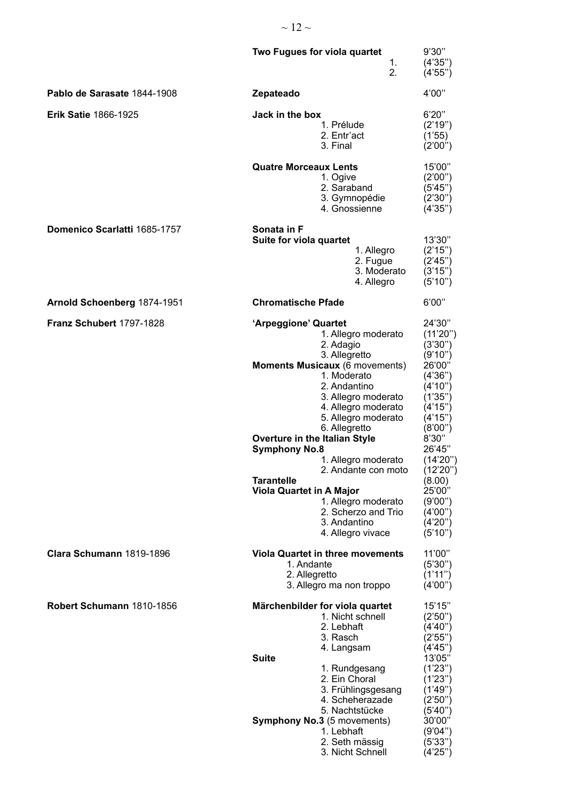|                              | Two Fugues for viola quartet<br>1.<br>2.                                                                                                                                                                                                                                                                                                                                                                                                                                           | 9'30"<br>(4'35'')<br>(4'55'')                                                                                                                                                                                                                 |
|------------------------------|------------------------------------------------------------------------------------------------------------------------------------------------------------------------------------------------------------------------------------------------------------------------------------------------------------------------------------------------------------------------------------------------------------------------------------------------------------------------------------|-----------------------------------------------------------------------------------------------------------------------------------------------------------------------------------------------------------------------------------------------|
| Pablo de Sarasate 1844-1908  | Zepateado                                                                                                                                                                                                                                                                                                                                                                                                                                                                          | 4'00"                                                                                                                                                                                                                                         |
| <b>Erik Satie 1866-1925</b>  | Jack in the box<br>1. Prélude<br>2. Entr'act<br>3. Final                                                                                                                                                                                                                                                                                                                                                                                                                           | 6'20''<br>(2'19'')<br>(1'55)<br>(2'00'')                                                                                                                                                                                                      |
|                              | <b>Quatre Morceaux Lents</b><br>1. Ogive<br>2. Saraband<br>3. Gymnopédie<br>4. Gnossienne                                                                                                                                                                                                                                                                                                                                                                                          | 15'00"<br>(2'00'')<br>(5'45'')<br>(2'30'')<br>(4'35'')                                                                                                                                                                                        |
| Domenico Scarlatti 1685-1757 | Sonata in F<br>Suite for viola quartet<br>1. Allegro<br>2. Fugue<br>3. Moderato<br>4. Allegro                                                                                                                                                                                                                                                                                                                                                                                      | 13'30"<br>(2'15'')<br>(2'45'')<br>(3'15'')<br>(5'10'')                                                                                                                                                                                        |
| Arnold Schoenberg 1874-1951  | <b>Chromatische Pfade</b>                                                                                                                                                                                                                                                                                                                                                                                                                                                          | 6'00"                                                                                                                                                                                                                                         |
| Franz Schubert 1797-1828     | 'Arpeggione' Quartet<br>1. Allegro moderato<br>2. Adagio<br>3. Allegretto<br>Moments Musicaux (6 movements)<br>1. Moderato<br>2. Andantino<br>3. Allegro moderato<br>4. Allegro moderato<br>5. Allegro moderato<br>6. Allegretto<br>Overture in the Italian Style<br><b>Symphony No.8</b><br>1. Allegro moderato<br>2. Andante con moto<br><b>Tarantelle</b><br><b>Viola Quartet in A Major</b><br>1. Allegro moderato<br>2. Scherzo and Trio<br>3. Andantino<br>4. Allegro vivace | 24'30"<br>(11'20'')<br>(3'30'')<br>(9'10'')<br>26'00"<br>(4'36'')<br>(4'10'')<br>(1'35'')<br>(4'15'')<br>(4'15'')<br>(8'00")<br>8'30''<br>26'45"<br>(14'20'')<br>(12'20'')<br>(8.00)<br>25'00"<br>(9'00")<br>(4'00'')<br>(4'20'')<br>(5'10'') |
| Clara Schumann 1819-1896     | <b>Viola Quartet in three movements</b><br>1. Andante<br>2. Allegretto<br>3. Allegro ma non troppo                                                                                                                                                                                                                                                                                                                                                                                 | 11'00"<br>(5'30'')<br>(1'11'')<br>(4'00'')                                                                                                                                                                                                    |
| Robert Schumann 1810-1856    | Märchenbilder for viola quartet<br>1. Nicht schnell<br>2. Lebhaft<br>3. Rasch<br>4. Langsam<br><b>Suite</b><br>1. Rundgesang<br>2. Ein Choral<br>3. Frühlingsgesang<br>4. Scheherazade<br>5. Nachtstücke<br><b>Symphony No.3</b> (5 movements)<br>1. Lebhaft<br>2. Seth mässig<br>3. Nicht Schnell                                                                                                                                                                                 | 15'15"<br>(2'50'')<br>(4'40'')<br>(2'55'')<br>(4'45'')<br>13'05"<br>(1'23'')<br>(1'23'')<br>(1'49")<br>(2'50'')<br>(5'40'')<br>30'00"<br>(9'04'')<br>(5'33'')<br>(4'25'')                                                                     |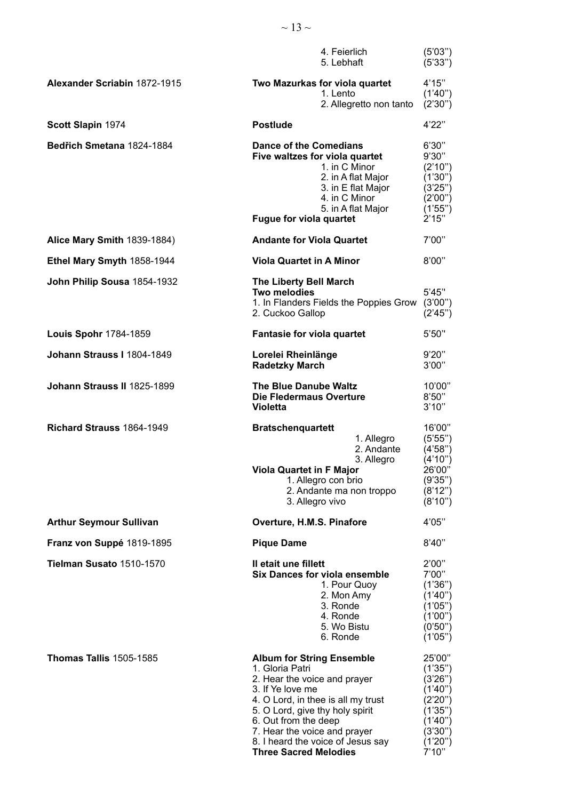|                                     | 4. Feierlich<br>5. Lebhaft                                                                                                                                                                                                                                                                                    | (5'03'')<br>(5'33'')                                                                                            |
|-------------------------------------|---------------------------------------------------------------------------------------------------------------------------------------------------------------------------------------------------------------------------------------------------------------------------------------------------------------|-----------------------------------------------------------------------------------------------------------------|
| <b>Alexander Scriabin 1872-1915</b> | Two Mazurkas for viola quartet<br>1. Lento<br>2. Allegretto non tanto                                                                                                                                                                                                                                         | 4'15"<br>(1'40'')<br>(2'30'')                                                                                   |
| Scott Slapin 1974                   | <b>Postlude</b>                                                                                                                                                                                                                                                                                               | 4'22"                                                                                                           |
| Bedřich Smetana 1824-1884           | <b>Dance of the Comedians</b><br>Five waltzes for viola quartet<br>1. in C Minor<br>2. in A flat Major<br>3. in E flat Major<br>4. in C Minor<br>5. in A flat Major<br>Fugue for viola quartet                                                                                                                | 6'30''<br>9'30"<br>(2'10'')<br>(1'30")<br>(3'25'')<br>(2'00")<br>(1'55")<br>2'15"                               |
| Alice Mary Smith 1839-1884)         | <b>Andante for Viola Quartet</b>                                                                                                                                                                                                                                                                              | 7'00"                                                                                                           |
| Ethel Mary Smyth 1858-1944          | <b>Viola Quartet in A Minor</b>                                                                                                                                                                                                                                                                               | 8'00"                                                                                                           |
| John Philip Sousa 1854-1932         | <b>The Liberty Bell March</b><br>Two melodies<br>1. In Flanders Fields the Poppies Grow<br>2. Cuckoo Gallop                                                                                                                                                                                                   | 5'45''<br>(3'00")<br>(2'45'')                                                                                   |
| Louis Spohr 1784-1859               | Fantasie for viola quartet                                                                                                                                                                                                                                                                                    | 5'50''                                                                                                          |
| Johann Strauss I 1804-1849          | Lorelei Rheinlänge<br><b>Radetzky March</b>                                                                                                                                                                                                                                                                   | 9'20"<br>3'00"                                                                                                  |
| Johann Strauss II 1825-1899         | <b>The Blue Danube Waltz</b><br>Die Fledermaus Overture<br><b>Violetta</b>                                                                                                                                                                                                                                    | 10'00"<br>8'50"<br>3'10''                                                                                       |
| Richard Strauss 1864-1949           | <b>Bratschenquartett</b><br>1. Allegro<br>2. Andante<br>3. Allegro<br><b>Viola Quartet in F Major</b><br>1. Allegro con brio<br>2. Andante ma non troppo<br>3. Allegro vivo                                                                                                                                   | 16'00"<br>(5'55'')<br>(4'58'')<br>(4'10'')<br>26'00"<br>(9'35")<br>(8'12'')<br>(8'10'')                         |
| <b>Arthur Seymour Sullivan</b>      | Overture, H.M.S. Pinafore                                                                                                                                                                                                                                                                                     | 4'05"                                                                                                           |
| Franz von Suppé 1819-1895           | <b>Pique Dame</b>                                                                                                                                                                                                                                                                                             | 8'40''                                                                                                          |
| Tielman Susato 1510-1570            | Il etait une fillett<br><b>Six Dances for viola ensemble</b><br>1. Pour Quoy<br>2. Mon Amy<br>3. Ronde<br>4. Ronde<br>5. Wo Bistu<br>6. Ronde                                                                                                                                                                 | 2'00"<br>7'00"<br>(1'36")<br>(1'40'')<br>(1'05'')<br>(1'00'')<br>(0'50'')<br>(1'05'')                           |
| <b>Thomas Tallis 1505-1585</b>      | <b>Album for String Ensemble</b><br>1. Gloria Patri<br>2. Hear the voice and prayer<br>3. If Ye love me<br>4. O Lord, in thee is all my trust<br>5. O Lord, give thy holy spirit<br>6. Out from the deep<br>7. Hear the voice and prayer<br>8. I heard the voice of Jesus say<br><b>Three Sacred Melodies</b> | 25'00"<br>(1'35'')<br>(3'26'')<br>(1'40'')<br>(2'20'')<br>(1'35")<br>(1'40'')<br>(3'30'')<br>(1'20'')<br>7'10'' |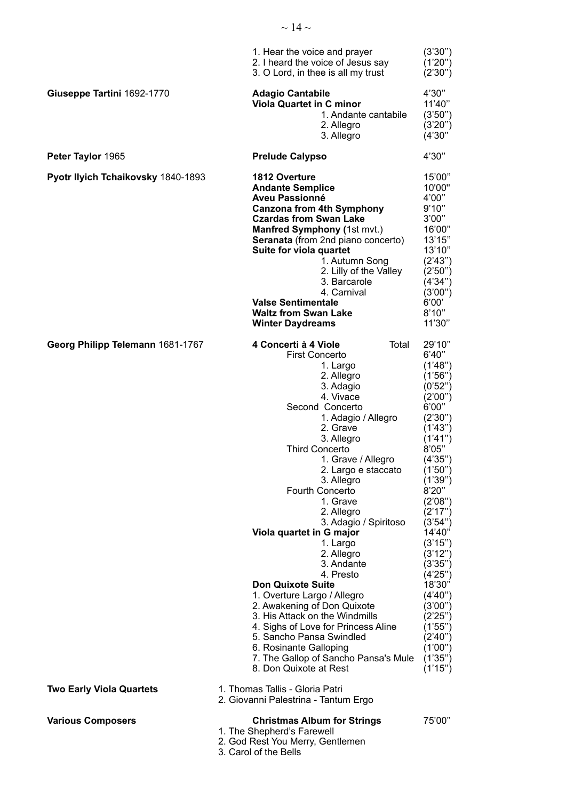|                                    | 1. Hear the voice and prayer<br>2. I heard the voice of Jesus say<br>3. O Lord, in thee is all my trust                                                                                                                                                                                                                                                                                                                                                                                                                                                                                                                                                                                                              | (3'30'')<br>(1'20'')<br>(2'30'')                                                                                                                                                                                                                                                                                                                                       |
|------------------------------------|----------------------------------------------------------------------------------------------------------------------------------------------------------------------------------------------------------------------------------------------------------------------------------------------------------------------------------------------------------------------------------------------------------------------------------------------------------------------------------------------------------------------------------------------------------------------------------------------------------------------------------------------------------------------------------------------------------------------|------------------------------------------------------------------------------------------------------------------------------------------------------------------------------------------------------------------------------------------------------------------------------------------------------------------------------------------------------------------------|
| Giuseppe Tartini 1692-1770         | <b>Adagio Cantabile</b><br><b>Viola Quartet in C minor</b><br>1. Andante cantabile<br>2. Allegro<br>3. Allegro                                                                                                                                                                                                                                                                                                                                                                                                                                                                                                                                                                                                       | 4'30"<br>11'40"<br>(3'50'')<br>(3'20'')<br>(4'30'')                                                                                                                                                                                                                                                                                                                    |
| Peter Taylor 1965                  | <b>Prelude Calypso</b>                                                                                                                                                                                                                                                                                                                                                                                                                                                                                                                                                                                                                                                                                               | 4'30"                                                                                                                                                                                                                                                                                                                                                                  |
| Pyotr Ilyich Tchaikovsky 1840-1893 | <b>1812 Overture</b><br><b>Andante Semplice</b><br><b>Aveu Passionné</b><br><b>Canzona from 4th Symphony</b><br><b>Czardas from Swan Lake</b><br>Manfred Symphony (1st mvt.)<br>Seranata (from 2nd piano concerto)<br>Suite for viola quartet<br>1. Autumn Song<br>2. Lilly of the Valley<br>3. Barcarole<br>4. Carnival<br><b>Valse Sentimentale</b><br><b>Waltz from Swan Lake</b><br><b>Winter Daydreams</b>                                                                                                                                                                                                                                                                                                      | 15'00"<br>10'00"<br>4'00"<br>9'10"<br>3'00"<br>16'00"<br>13'15"<br>13'10"<br>(2'43'')<br>(2'50'')<br>(4'34'')<br>(3'00'')<br>6'00'<br>8'10''<br>11'30"                                                                                                                                                                                                                 |
| Georg Philipp Telemann 1681-1767   | 4 Concerti à 4 Viole<br>Total<br><b>First Concerto</b><br>1. Largo<br>2. Allegro<br>3. Adagio<br>4. Vivace<br>Second Concerto<br>1. Adagio / Allegro<br>2. Grave<br>3. Allegro<br><b>Third Concerto</b><br>1. Grave / Allegro<br>2. Largo e staccato<br>3. Allegro<br>Fourth Concerto<br>1. Grave<br>2. Allegro<br>3. Adagio / Spiritoso<br>Viola quartet in G major<br>1. Largo<br>2. Allegro<br>3. Andante<br>4. Presto<br><b>Don Quixote Suite</b><br>1. Overture Largo / Allegro<br>2. Awakening of Don Quixote<br>3. His Attack on the Windmills<br>4. Sighs of Love for Princess Aline<br>5. Sancho Pansa Swindled<br>6. Rosinante Galloping<br>7. The Gallop of Sancho Pansa's Mule<br>8. Don Quixote at Rest | 29'10"<br>6'40"<br>(1'48")<br>(1'56'')<br>(0'52")<br>(2'00'')<br>6'00"<br>(2'30'')<br>(1'43'')<br>(1'41'')<br>8'05"<br>(4'35'')<br>(1'50'')<br>(1'39'')<br>8'20''<br>(2'08'')<br>(2'17")<br>(3'54'')<br>14'40"<br>(3'15'')<br>(3'12'')<br>(3'35'')<br>(4'25'')<br>18'30"<br>(4'40'')<br>(3'00'')<br>(2'25'')<br>(1'55'')<br>(2'40'')<br>(1'00")<br>(1'35")<br>(1'15'') |
| <b>Two Early Viola Quartets</b>    | 1. Thomas Tallis - Gloria Patri<br>2. Giovanni Palestrina - Tantum Ergo                                                                                                                                                                                                                                                                                                                                                                                                                                                                                                                                                                                                                                              |                                                                                                                                                                                                                                                                                                                                                                        |
| <b>Various Composers</b>           | <b>Christmas Album for Strings</b><br>1. The Shepherd's Farewell<br>2. God Rest You Merry, Gentlemen<br>3. Carol of the Bells                                                                                                                                                                                                                                                                                                                                                                                                                                                                                                                                                                                        | 75'00"                                                                                                                                                                                                                                                                                                                                                                 |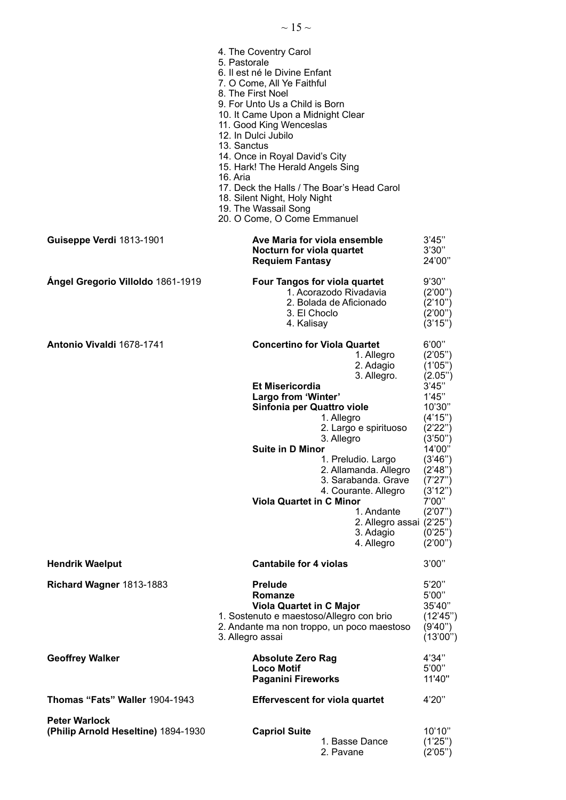|                                                             | 4. The Coventry Carol<br>5. Pastorale<br>6. Il est né le Divine Enfant<br>7. O Come, All Ye Faithful<br>8. The First Noel<br>9. For Unto Us a Child is Born<br>10. It Came Upon a Midnight Clear<br>11. Good King Wenceslas<br>12. In Dulci Jubilo<br>13. Sanctus<br>14. Once in Royal David's City<br>15. Hark! The Herald Angels Sing<br>16. Aria<br>17. Deck the Halls / The Boar's Head Carol<br>18. Silent Night, Holy Night<br>19. The Wassail Song<br>20. O Come, O Come Emmanuel |                                                                                                                                                                                                                |
|-------------------------------------------------------------|------------------------------------------------------------------------------------------------------------------------------------------------------------------------------------------------------------------------------------------------------------------------------------------------------------------------------------------------------------------------------------------------------------------------------------------------------------------------------------------|----------------------------------------------------------------------------------------------------------------------------------------------------------------------------------------------------------------|
| Guiseppe Verdi 1813-1901                                    | Ave Maria for viola ensemble<br>Nocturn for viola quartet<br><b>Requiem Fantasy</b>                                                                                                                                                                                                                                                                                                                                                                                                      | 3'45"<br>3'30"<br>24'00"                                                                                                                                                                                       |
| Ángel Gregorio Villoldo 1861-1919                           | <b>Four Tangos for viola quartet</b><br>1. Acorazodo Rivadavia<br>2. Bolada de Aficionado<br>3. El Choclo<br>4. Kalisay                                                                                                                                                                                                                                                                                                                                                                  | 9'30"<br>(2'00'')<br>(2'10'')<br>(2'00")<br>(3'15'')                                                                                                                                                           |
| <b>Antonio Vivaldi 1678-1741</b>                            | <b>Concertino for Viola Quartet</b><br>1. Allegro<br>2. Adagio<br>3. Allegro.<br><b>Et Misericordia</b><br>Largo from 'Winter'<br>Sinfonia per Quattro viole<br>1. Allegro<br>2. Largo e spirituoso<br>3. Allegro<br><b>Suite in D Minor</b><br>1. Preludio. Largo<br>2. Allamanda. Allegro<br>3. Sarabanda. Grave<br>4. Courante. Allegro<br><b>Viola Quartet in C Minor</b><br>1. Andante<br>2. Allegro assai (2'25")<br>3. Adagio<br>4. Allegro                                       | 6'00"<br>(2'05'')<br>(1'05'')<br>(2.05")<br>3'45"<br>1'45"<br>10'30"<br>(4'15'')<br>(2'22'')<br>(3'50'')<br>14'00"<br>(3'46'')<br>(2'48'')<br>(7'27'')<br>(3'12'')<br>7'00"<br>(2'07'')<br>(0'25")<br>(2'00'') |
| <b>Hendrik Waelput</b>                                      | <b>Cantabile for 4 violas</b>                                                                                                                                                                                                                                                                                                                                                                                                                                                            | 3'00"                                                                                                                                                                                                          |
| Richard Wagner 1813-1883                                    | <b>Prelude</b><br>Romanze<br><b>Viola Quartet in C Major</b><br>1. Sostenuto e maestoso/Allegro con brio<br>2. Andante ma non troppo, un poco maestoso<br>3. Allegro assai                                                                                                                                                                                                                                                                                                               | 5'20"<br>5'00"<br>35'40"<br>(12'45'')<br>(9'40")<br>(13'00")                                                                                                                                                   |
| <b>Geoffrey Walker</b>                                      | <b>Absolute Zero Rag</b><br><b>Loco Motif</b><br><b>Paganini Fireworks</b>                                                                                                                                                                                                                                                                                                                                                                                                               | 4'34"<br>5'00"<br>11'40"                                                                                                                                                                                       |
| Thomas "Fats" Waller 1904-1943                              | <b>Effervescent for viola quartet</b>                                                                                                                                                                                                                                                                                                                                                                                                                                                    | 4'20"                                                                                                                                                                                                          |
| <b>Peter Warlock</b><br>(Philip Arnold Heseltine) 1894-1930 | <b>Capriol Suite</b><br>1. Basse Dance<br>2. Pavane                                                                                                                                                                                                                                                                                                                                                                                                                                      | 10'10"<br>(1'25'')<br>(2'05'')                                                                                                                                                                                 |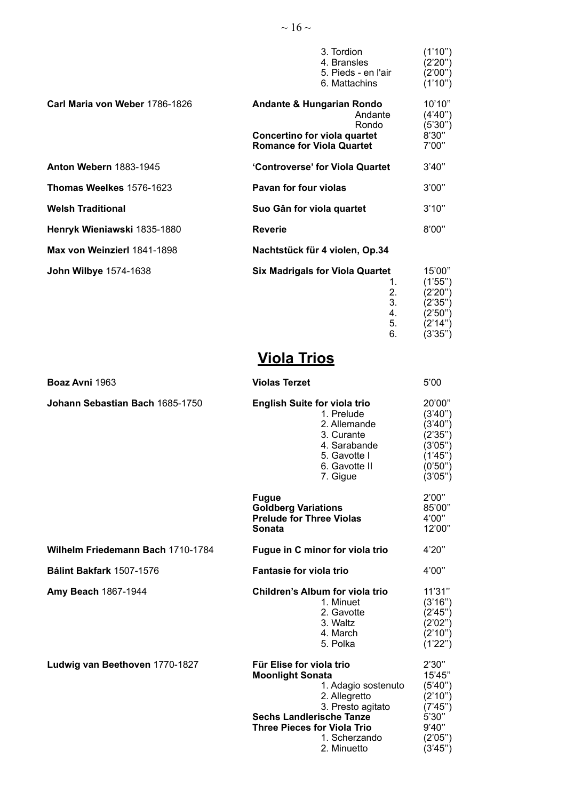|                                | 3. Tordion<br>4. Bransles<br>5. Pieds - en l'air<br>6. Mattachins                                                            | (1'10")<br>(2'20'')<br>(2'00")<br>(1'10")                                    |
|--------------------------------|------------------------------------------------------------------------------------------------------------------------------|------------------------------------------------------------------------------|
| Carl Maria von Weber 1786-1826 | <b>Andante &amp; Hungarian Rondo</b><br>Andante<br>Rondo<br>Concertino for viola quartet<br><b>Romance for Viola Quartet</b> | 10'10"<br>(4'40'')<br>(5'30'')<br>8'30"<br>7'00"                             |
| <b>Anton Webern 1883-1945</b>  | 'Controverse' for Viola Quartet                                                                                              | 3'40''                                                                       |
| Thomas Weelkes 1576-1623       | Pavan for four violas                                                                                                        | 3'00"                                                                        |
| Welsh Traditional              | Suo Gân for viola quartet                                                                                                    | 3'10''                                                                       |
| Henryk Wieniawski 1835-1880    | <b>Reverie</b>                                                                                                               | 8'00"                                                                        |
| Max von Weinzierl 1841-1898    | Nachtstück für 4 violen, Op.34                                                                                               |                                                                              |
| John Wilbye 1574-1638          | <b>Six Madrigals for Viola Quartet</b><br>1.<br>2.<br>3.<br>4.<br>5.<br>6.                                                   | 15'00"<br>(1'55")<br>(2'20'')<br>(2'35")<br>(2'50'')<br>(2'14'')<br>(3'35'') |

# **Viola Trios**

| Boaz Avni 1963                           | <b>Violas Terzet</b>                                                                                                                                                                                                      | 5'00                                                                                          |
|------------------------------------------|---------------------------------------------------------------------------------------------------------------------------------------------------------------------------------------------------------------------------|-----------------------------------------------------------------------------------------------|
| Johann Sebastian Bach 1685-1750          | <b>English Suite for viola trio</b><br>1. Prelude<br>2. Allemande<br>3. Curante<br>4. Sarabande<br>5. Gavotte I<br>6. Gavotte II<br>7. Gigue                                                                              | 20'00"<br>(3'40'')<br>(3'40'')<br>(2'35")<br>(3'05'')<br>(1'45")<br>(0'50'')<br>(3'05'')      |
|                                          | <b>Fugue</b><br><b>Goldberg Variations</b><br><b>Prelude for Three Violas</b><br>Sonata                                                                                                                                   | 2'00"<br>85'00"<br>4'00"<br>12'00"                                                            |
| <b>Wilhelm Friedemann Bach 1710-1784</b> | Fugue in C minor for viola trio                                                                                                                                                                                           | 4'20"                                                                                         |
| Bálint Bakfark 1507-1576                 | <b>Fantasie for viola trio</b>                                                                                                                                                                                            | 4'00"                                                                                         |
| <b>Amy Beach 1867-1944</b>               | <b>Children's Album for viola trio</b><br>1. Minuet<br>2. Gavotte<br>3. Waltz<br>4. March<br>5. Polka                                                                                                                     | 11'31"<br>(3'16'')<br>(2'45'')<br>(2'02'')<br>(2'10'')<br>(1'22'')                            |
| Ludwig van Beethoven 1770-1827           | Für Elise for viola trio<br><b>Moonlight Sonata</b><br>1. Adagio sostenuto<br>2. Allegretto<br>3. Presto agitato<br><b>Sechs Landlerische Tanze</b><br><b>Three Pieces for Viola Trio</b><br>1. Scherzando<br>2. Minuetto | 2'30''<br>15'45"<br>(5'40'')<br>(2'10'')<br>(7'45'')<br>5'30''<br>9'40"<br>(2'05")<br>(3'45") |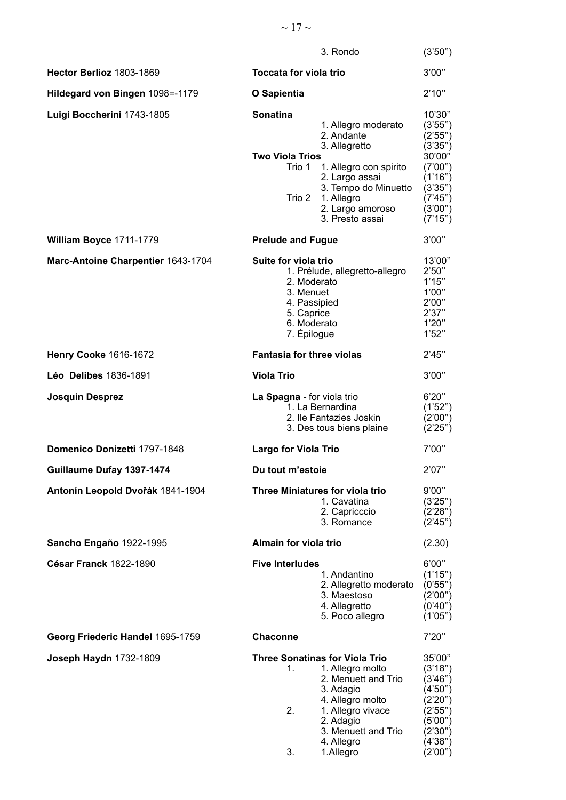## $\sim 17 \sim$

|                                    | 3. Rondo                                                                                                                                                                                                                                     | (3'50'')                                                                                                               |
|------------------------------------|----------------------------------------------------------------------------------------------------------------------------------------------------------------------------------------------------------------------------------------------|------------------------------------------------------------------------------------------------------------------------|
| Hector Berlioz 1803-1869           | <b>Toccata for viola trio</b>                                                                                                                                                                                                                | 3'00"                                                                                                                  |
| Hildegard von Bingen 1098=-1179    | O Sapientia                                                                                                                                                                                                                                  | 2'10''                                                                                                                 |
| Luigi Boccherini 1743-1805         | <b>Sonatina</b><br>1. Allegro moderato<br>2. Andante<br>3. Allegretto<br><b>Two Viola Trios</b><br>Trio 1<br>1. Allegro con spirito<br>2. Largo assai<br>3. Tempo do Minuetto<br>Trio 2<br>1. Allegro<br>2. Largo amoroso<br>3. Presto assai | 10'30"<br>(3'55'')<br>(2'55")<br>(3'35")<br>30'00"<br>(7'00'')<br>(1'16")<br>(3'35")<br>(7'45")<br>(3'00")<br>(7'15'') |
| William Boyce 1711-1779            | <b>Prelude and Fugue</b>                                                                                                                                                                                                                     | 3'00"                                                                                                                  |
| Marc-Antoine Charpentier 1643-1704 | Suite for viola trio<br>1. Prélude, allegretto-allegro<br>2. Moderato<br>3. Menuet<br>4. Passipied<br>5. Caprice<br>6. Moderato<br>7. Épilogue                                                                                               | 13'00"<br>2'50''<br>1'15"<br>1'00"<br>2'00"<br>2'37''<br>1'20''<br>1'52"                                               |
| <b>Henry Cooke 1616-1672</b>       | <b>Fantasia for three violas</b>                                                                                                                                                                                                             | 2'45"                                                                                                                  |
| Léo Delibes 1836-1891              | <b>Viola Trio</b>                                                                                                                                                                                                                            | 3'00"                                                                                                                  |
| <b>Josquin Desprez</b>             | La Spagna - for viola trio<br>1. La Bernardina<br>2. Ile Fantazies Joskin<br>3. Des tous biens plaine                                                                                                                                        | 6'20''<br>(1'52")<br>(2'00")<br>(2'25'')                                                                               |
| Domenico Donizetti 1797-1848       | <b>Largo for Viola Trio</b>                                                                                                                                                                                                                  | 7'00"                                                                                                                  |
| Guillaume Dufay 1397-1474          | Du tout m'estoie                                                                                                                                                                                                                             | 2'07"                                                                                                                  |
| Antonín Leopold Dvořák 1841-1904   | Three Miniatures for viola trio<br>1. Cavatina<br>2. Capricccio<br>3. Romance                                                                                                                                                                | 9'00"<br>(3'25'')<br>(2'28")<br>(2'45'')                                                                               |
| Sancho Engaño 1922-1995            | Almain for viola trio                                                                                                                                                                                                                        | (2.30)                                                                                                                 |
| <b>César Franck 1822-1890</b>      | <b>Five Interludes</b><br>1. Andantino<br>2. Allegretto moderato<br>3. Maestoso<br>4. Allegretto<br>5. Poco allegro                                                                                                                          | 6'00''<br>(1'15")<br>(0'55")<br>(2'00")<br>(0'40'')<br>(1'05'')                                                        |
| Georg Friederic Handel 1695-1759   | <b>Chaconne</b>                                                                                                                                                                                                                              | 7'20"                                                                                                                  |
| Joseph Haydn 1732-1809             | <b>Three Sonatinas for Viola Trio</b><br>1. Allegro molto<br>1.<br>2. Menuett and Trio<br>3. Adagio<br>4. Allegro molto<br>2.<br>1. Allegro vivace<br>2. Adagio<br>3. Menuett and Trio<br>4. Allegro<br>3.<br>1.Allegro                      | 35'00"<br>(3'18")<br>(3'46'')<br>(4'50'')<br>(2'20'')<br>(2'55")<br>(5'00")<br>(2'30'')<br>(4'38")<br>(2'00'')         |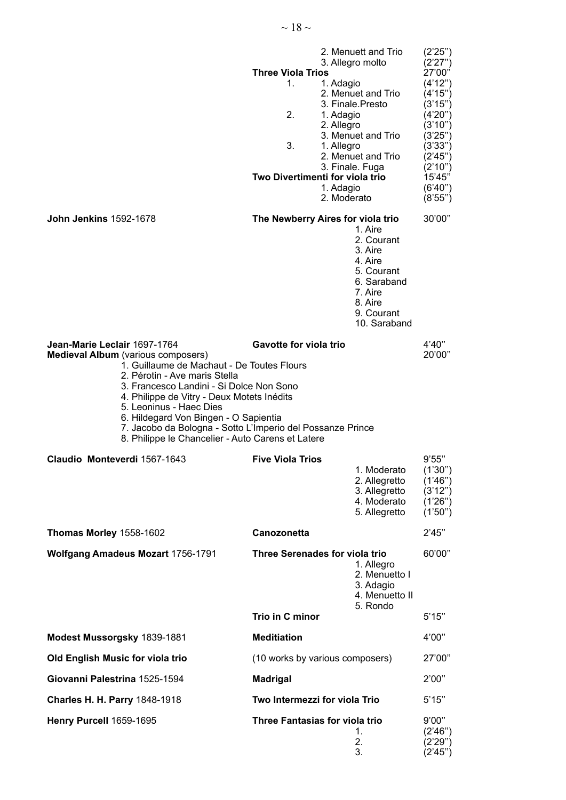|                                                                                                                                                                                                                                                                                                                                                                                                                                           | <b>Three Viola Trios</b><br>1.<br>1. Adagio<br>2.<br>1. Adagio<br>2. Allegro<br>3.<br>1. Allegro<br>Two Divertimenti for viola trio<br>1. Adagio<br>2. Moderato | 2. Menuett and Trio<br>3. Allegro molto<br>2. Menuet and Trio<br>3. Finale.Presto<br>3. Menuet and Trio<br>2. Menuet and Trio<br>3. Finale. Fuga | (2'25'')<br>(2'27'')<br>27'00"<br>(4'12'')<br>(4'15'')<br>(3'15'')<br>(4'20'')<br>(3'10'')<br>(3'25'')<br>(3'33'')<br>(2'45'')<br>(2'10'')<br>15'45"<br>(6'40'')<br>(8'55'') |
|-------------------------------------------------------------------------------------------------------------------------------------------------------------------------------------------------------------------------------------------------------------------------------------------------------------------------------------------------------------------------------------------------------------------------------------------|-----------------------------------------------------------------------------------------------------------------------------------------------------------------|--------------------------------------------------------------------------------------------------------------------------------------------------|------------------------------------------------------------------------------------------------------------------------------------------------------------------------------|
| <b>John Jenkins 1592-1678</b>                                                                                                                                                                                                                                                                                                                                                                                                             | The Newberry Aires for viola trio                                                                                                                               | 1. Aire<br>2. Courant<br>3. Aire<br>4. Aire<br>5. Courant<br>6. Saraband<br>7. Aire<br>8. Aire<br>9. Courant<br>10. Saraband                     | 30'00"                                                                                                                                                                       |
| Jean-Marie Leclair 1697-1764<br><b>Medieval Album</b> (various composers)<br>1. Guillaume de Machaut - De Toutes Flours<br>2. Pérotin - Ave maris Stella<br>3. Francesco Landini - Si Dolce Non Sono<br>4. Philippe de Vitry - Deux Motets Inédits<br>5. Leoninus - Haec Dies<br>6. Hildegard Von Bingen - O Sapientia<br>7. Jacobo da Bologna - Sotto L'Imperio del Possanze Prince<br>8. Philippe le Chancelier - Auto Carens et Latere | <b>Gavotte for viola trio</b>                                                                                                                                   |                                                                                                                                                  | 4'40"<br>20'00"                                                                                                                                                              |
| Claudio Monteverdi 1567-1643                                                                                                                                                                                                                                                                                                                                                                                                              | <b>Five Viola Trios</b>                                                                                                                                         | 1. Moderato<br>2. Allegretto<br>3. Allegretto<br>4. Moderato<br>5. Allegretto                                                                    | 9'55"<br>(1'30'')<br>(1'46'')<br>(3'12'')<br>(1'26'')<br>(1'50'')                                                                                                            |
| Thomas Morley 1558-1602                                                                                                                                                                                                                                                                                                                                                                                                                   | Canozonetta                                                                                                                                                     |                                                                                                                                                  | 2'45"                                                                                                                                                                        |
| <b>Wolfgang Amadeus Mozart 1756-1791</b>                                                                                                                                                                                                                                                                                                                                                                                                  | Three Serenades for viola trio                                                                                                                                  | 1. Allegro<br>2. Menuetto I<br>3. Adagio<br>4. Menuetto II                                                                                       | 60'00"                                                                                                                                                                       |
|                                                                                                                                                                                                                                                                                                                                                                                                                                           | Trio in C minor                                                                                                                                                 | 5. Rondo                                                                                                                                         | 5'15"                                                                                                                                                                        |
| Modest Mussorgsky 1839-1881                                                                                                                                                                                                                                                                                                                                                                                                               | <b>Meditiation</b>                                                                                                                                              |                                                                                                                                                  | 4'00"                                                                                                                                                                        |
| Old English Music for viola trio                                                                                                                                                                                                                                                                                                                                                                                                          | (10 works by various composers)                                                                                                                                 |                                                                                                                                                  | 27'00"                                                                                                                                                                       |
| Giovanni Palestrina 1525-1594                                                                                                                                                                                                                                                                                                                                                                                                             | <b>Madrigal</b>                                                                                                                                                 |                                                                                                                                                  | 2'00"                                                                                                                                                                        |
| Charles H. H. Parry 1848-1918                                                                                                                                                                                                                                                                                                                                                                                                             | Two Intermezzi for viola Trio                                                                                                                                   |                                                                                                                                                  | 5'15"                                                                                                                                                                        |
| Henry Purcell 1659-1695                                                                                                                                                                                                                                                                                                                                                                                                                   | Three Fantasias for viola trio                                                                                                                                  | 1.<br>2.<br>3.                                                                                                                                   | 9'00"<br>(2'46'')<br>(2'29'')<br>(2'45")                                                                                                                                     |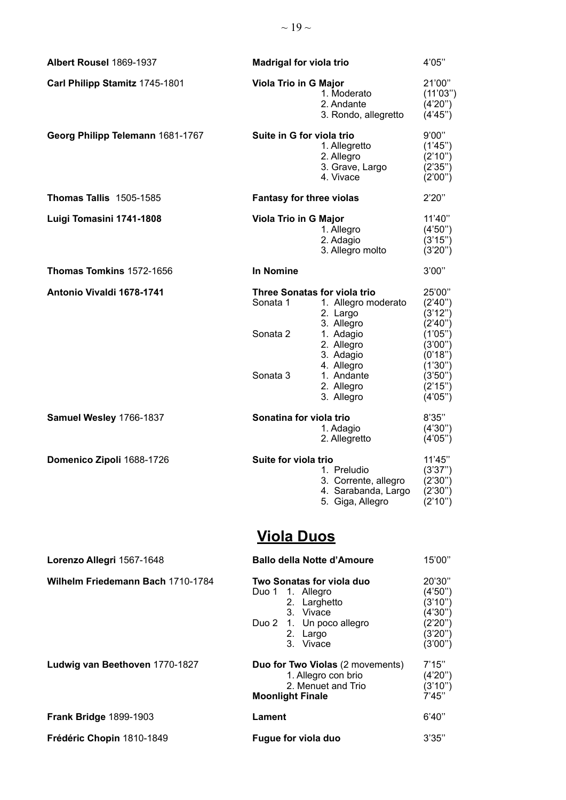| Albert Rousel 1869-1937           | <b>Madrigal for viola trio</b>                                                                                                                                                                             | 4'05"                                                                                                          |
|-----------------------------------|------------------------------------------------------------------------------------------------------------------------------------------------------------------------------------------------------------|----------------------------------------------------------------------------------------------------------------|
| Carl Philipp Stamitz 1745-1801    | <b>Viola Trio in G Major</b><br>1. Moderato<br>2. Andante<br>3. Rondo, allegretto                                                                                                                          | 21'00"<br>(11'03'')<br>(4'20'')<br>(4'45'')                                                                    |
| Georg Philipp Telemann 1681-1767  | Suite in G for viola trio<br>1. Allegretto<br>2. Allegro<br>3. Grave, Largo<br>4. Vivace                                                                                                                   | 9'00"<br>(1'45'')<br>(2'10'')<br>(2'35'')<br>(2'00'')                                                          |
| <b>Thomas Tallis 1505-1585</b>    | <b>Fantasy for three violas</b>                                                                                                                                                                            | 2'20"                                                                                                          |
| Luigi Tomasini 1741-1808          | Viola Trio in G Major<br>1. Allegro<br>2. Adagio<br>3. Allegro molto                                                                                                                                       | 11'40"<br>(4'50'')<br>(3'15'')<br>(3'20'')                                                                     |
| Thomas Tomkins 1572-1656          | In Nomine                                                                                                                                                                                                  | 3'00"                                                                                                          |
| Antonio Vivaldi 1678-1741         | <b>Three Sonatas for viola trio</b><br>Sonata 1<br>1. Allegro moderato<br>2. Largo<br>3. Allegro<br>Sonata 2<br>1. Adagio<br>2. Allegro<br>3. Adagio<br>4. Allegro<br>Sonata 3<br>1. Andante<br>2. Allegro | 25'00"<br>(2'40'')<br>(3'12'')<br>(2'40'')<br>(1'05")<br>(3'00")<br>(0'18")<br>(1'30")<br>(3'50'')<br>(2'15'') |
|                                   | 3. Allegro                                                                                                                                                                                                 | (4'05'')                                                                                                       |
| Samuel Wesley 1766-1837           | Sonatina for viola trio<br>1. Adagio<br>2. Allegretto                                                                                                                                                      | 8'35"<br>(4'30'')<br>(4'05'')                                                                                  |
| Domenico Zipoli 1688-1726         | Suite for viola trio<br>1. Preludio<br>3. Corrente, allegro (2'30")<br>4. Sarabanda, Largo<br>5. Giga, Allegro<br><u>Viola Duos</u>                                                                        | 11'45"<br>(3'37'')<br>(2'30'')<br>(2'10'')                                                                     |
| Lorenzo Allegri 1567-1648         | <b>Ballo della Notte d'Amoure</b>                                                                                                                                                                          | 15'00"                                                                                                         |
| Wilhelm Friedemann Bach 1710-1784 | Two Sonatas for viola duo<br>Duo 1<br>1. Allegro<br>2. Larghetto<br>3. Vivace<br>Duo 2 1. Un poco allegro<br>2. Largo<br>3. Vivace                                                                         | 20'30"<br>(4'50'')<br>(3'10'')<br>(4'30'')<br>(2'20'')<br>(3'20'')<br>(3'00")                                  |
| Ludwig van Beethoven 1770-1827    | Duo for Two Violas (2 movements)<br>1. Allegro con brio<br>2. Menuet and Trio<br><b>Moonlight Finale</b>                                                                                                   | 7'15"<br>(4'20'')<br>(3'10'')<br>7'45''                                                                        |
| <b>Frank Bridge 1899-1903</b>     | Lament                                                                                                                                                                                                     | 6'40''                                                                                                         |
| Frédéric Chopin 1810-1849         | Fugue for viola duo                                                                                                                                                                                        | 3'35"                                                                                                          |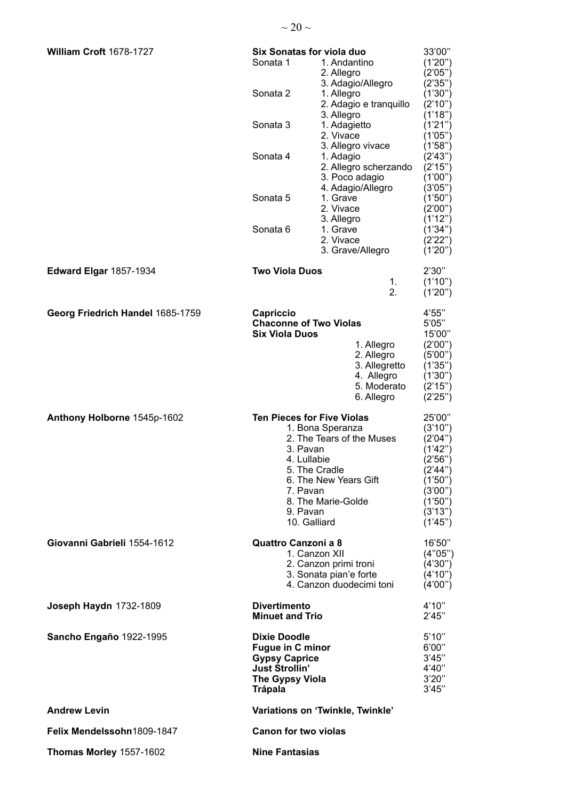| William Croft 1678-1727          | Six Sonatas for viola duo<br>1. Andantino<br>Sonata 1<br>2. Allegro                                                                                                                                                   | 33'00"<br>(1'20'')<br>(2'05'')                                                                                               |
|----------------------------------|-----------------------------------------------------------------------------------------------------------------------------------------------------------------------------------------------------------------------|------------------------------------------------------------------------------------------------------------------------------|
|                                  | 3. Adagio/Allegro<br>Sonata 2<br>1. Allegro<br>2. Adagio e tranquillo<br>3. Allegro                                                                                                                                   | (2'35'')<br>(1'30'')<br>(2'10'')<br>(1'18")                                                                                  |
|                                  | Sonata 3<br>1. Adagietto<br>2. Vivace<br>3. Allegro vivace                                                                                                                                                            | (1'21'')<br>(1'05")<br>(1'58")                                                                                               |
|                                  | Sonata 4<br>1. Adagio<br>2. Allegro scherzando<br>3. Poco adagio                                                                                                                                                      | (2'43")<br>(2'15")<br>(1'00")<br>(3'05'')                                                                                    |
|                                  | 4. Adagio/Allegro<br>1. Grave<br>Sonata 5<br>2. Vivace<br>3. Allegro                                                                                                                                                  | (1'50'')<br>(2'00'')<br>(1'12")                                                                                              |
|                                  | Sonata <sub>6</sub><br>1. Grave<br>2. Vivace<br>3. Grave/Allegro                                                                                                                                                      | (1'34'')<br>(2'22'')<br>(1'20'')                                                                                             |
| <b>Edward Elgar 1857-1934</b>    | <b>Two Viola Duos</b><br>1.<br>2.                                                                                                                                                                                     | 2'30''<br>(1'10'')<br>(1'20'')                                                                                               |
| Georg Friedrich Handel 1685-1759 | Capriccio<br><b>Chaconne of Two Violas</b><br><b>Six Viola Duos</b><br>1. Allegro<br>2. Allegro<br>3. Allegretto<br>4. Allegro<br>5. Moderato<br>6. Allegro                                                           | 4'55"<br>5'05"<br>15'00"<br>(2'00'')<br>(5'00'')<br>(1'35")<br>(1'30")<br>(2'15'')<br>(2'25'')                               |
| Anthony Holborne 1545p-1602      | <b>Ten Pieces for Five Violas</b><br>1. Bona Speranza<br>2. The Tears of the Muses<br>3. Pavan<br>4. Lullabie<br>5. The Cradle<br>6. The New Years Gift<br>7. Pavan<br>8. The Marie-Golde<br>9. Pavan<br>10. Galliard | 25'00"<br>(3'10'')<br>(2'04'')<br>(1'42")<br>(2'56'')<br>(2'44'')<br>(1'50'')<br>(3'00")<br>(1'50'')<br>(3'13'')<br>(1'45'') |
| Giovanni Gabrieli 1554-1612      | Quattro Canzoni a 8<br>1. Canzon XII<br>2. Canzon primi troni<br>3. Sonata pian'e forte<br>4. Canzon duodecimi toni                                                                                                   | 16'50"<br>(4"05")<br>(4'30'')<br>(4'10'')<br>(4'00'')                                                                        |
| Joseph Haydn 1732-1809           | <b>Divertimento</b><br><b>Minuet and Trio</b>                                                                                                                                                                         | 4'10''<br>2'45"                                                                                                              |
| Sancho Engaño 1922-1995          | <b>Dixie Doodle</b><br><b>Fugue in C minor</b><br><b>Gypsy Caprice</b><br><b>Just Strollin'</b><br><b>The Gypsy Viola</b><br><b>Trápala</b>                                                                           | 5'10''<br>6'00"<br>3'45"<br>4'40"<br>3'20''<br>3'45"                                                                         |
| <b>Andrew Levin</b>              | Variations on 'Twinkle, Twinkle'                                                                                                                                                                                      |                                                                                                                              |
| Felix Mendelssohn1809-1847       | <b>Canon for two violas</b>                                                                                                                                                                                           |                                                                                                                              |
| Thomas Morley 1557-1602          | <b>Nine Fantasias</b>                                                                                                                                                                                                 |                                                                                                                              |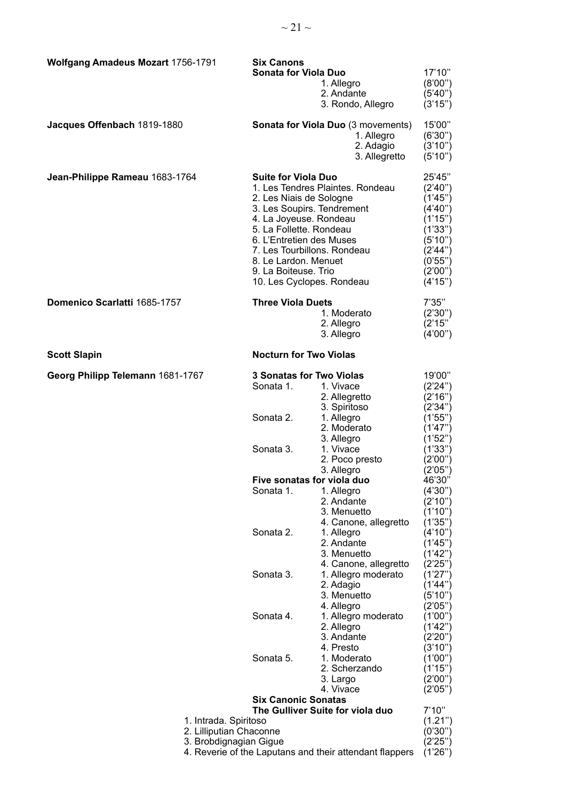| <b>Wolfgang Amadeus Mozart 1756-1791</b> |                                                  | <b>Six Canons</b>                                    |                                                         |                      |
|------------------------------------------|--------------------------------------------------|------------------------------------------------------|---------------------------------------------------------|----------------------|
|                                          |                                                  | Sonata for Viola Duo                                 |                                                         | 17'10"               |
|                                          |                                                  |                                                      | 1. Allegro                                              | (8'00")              |
|                                          |                                                  |                                                      | 2. Andante                                              | (5'40'')             |
|                                          |                                                  |                                                      | 3. Rondo, Allegro                                       | (3'15'')             |
| Jacques Offenbach 1819-1880              |                                                  |                                                      | <b>Sonata for Viola Duo (3 movements)</b>               | 15'00"               |
|                                          |                                                  |                                                      | 1. Allegro                                              | (6'30'')             |
|                                          |                                                  |                                                      | 2. Adagio                                               | (3'10'')             |
|                                          |                                                  |                                                      | 3. Allegretto                                           | (5'10'')             |
| Jean-Philippe Rameau 1683-1764           |                                                  | <b>Suite for Viola Duo</b>                           |                                                         | 25'45"               |
|                                          |                                                  |                                                      | 1. Les Tendres Plaintes. Rondeau                        | (2'40'')             |
|                                          |                                                  | 2. Les Niais de Sologne                              |                                                         | (1'45'')<br>(4'40'') |
|                                          |                                                  | 3. Les Soupirs. Tendrement<br>4. La Joyeuse. Rondeau |                                                         | (1'15'')             |
|                                          |                                                  | 5. La Follette. Rondeau                              |                                                         | (1'33")              |
|                                          |                                                  | 6. L'Entretien des Muses                             |                                                         | (5'10'')             |
|                                          |                                                  | 7. Les Tourbillons. Rondeau                          |                                                         | (2'44'')             |
|                                          |                                                  | 8. Le Lardon. Menuet                                 |                                                         | (0.55")              |
|                                          |                                                  | 9. La Boiteuse. Trio                                 |                                                         | (2'00")              |
|                                          |                                                  | 10. Les Cyclopes. Rondeau                            |                                                         | (4'15'')             |
| Domenico Scarlatti 1685-1757             |                                                  | <b>Three Viola Duets</b>                             |                                                         | 7'35"                |
|                                          |                                                  |                                                      | 1. Moderato                                             | (2'30'')             |
|                                          |                                                  |                                                      | 2. Allegro<br>3. Allegro                                | (2'15'')<br>(4'00'') |
|                                          |                                                  |                                                      |                                                         |                      |
| <b>Scott Slapin</b>                      |                                                  | <b>Nocturn for Two Violas</b>                        |                                                         |                      |
| Georg Philipp Telemann 1681-1767         |                                                  | <b>3 Sonatas for Two Violas</b>                      |                                                         | 19'00"               |
|                                          |                                                  | Sonata 1.                                            | 1. Vivace                                               | (2'24'')             |
|                                          |                                                  |                                                      | 2. Allegretto<br>3. Spiritoso                           | (2'16'')<br>(2'34'') |
|                                          |                                                  | Sonata 2.                                            | 1. Allegro                                              | (1'55'')             |
|                                          |                                                  |                                                      | 2. Moderato                                             | (1'47")              |
|                                          |                                                  |                                                      | 3. Allegro                                              | (1'52")              |
|                                          |                                                  | Sonata 3.                                            | 1. Vivace                                               | (1'33")              |
|                                          |                                                  |                                                      | 2. Poco presto                                          | (2'00")              |
|                                          |                                                  | 3. Allegro<br>Five sonatas for viola duo             |                                                         | (2'05'')             |
|                                          |                                                  |                                                      |                                                         | 46'30"               |
|                                          |                                                  | Sonata 1.                                            | 1. Allegro<br>2. Andante                                | (4'30'')<br>(2'10'') |
|                                          |                                                  |                                                      | 3. Menuetto                                             | (1'10")              |
|                                          |                                                  |                                                      | 4. Canone, allegretto                                   | (1'35")              |
|                                          |                                                  | Sonata 2.                                            | 1. Allegro                                              | (4'10'')             |
|                                          |                                                  |                                                      | 2. Andante                                              | (1'45")              |
|                                          |                                                  |                                                      | 3. Menuetto                                             | (1'42")              |
|                                          |                                                  |                                                      | 4. Canone, allegretto                                   | (2'25")              |
|                                          |                                                  | Sonata 3.                                            | 1. Allegro moderato                                     | (1'27")              |
|                                          |                                                  |                                                      | 2. Adagio<br>3. Menuetto                                | (1'44'')<br>(5'10")  |
|                                          |                                                  |                                                      | 4. Allegro                                              | (2'05'')             |
|                                          |                                                  | Sonata 4.                                            | 1. Allegro moderato                                     | (1'00")              |
|                                          |                                                  |                                                      | 2. Allegro                                              | (1'42")              |
|                                          |                                                  |                                                      | 3. Andante                                              | (2'20'')             |
|                                          |                                                  |                                                      | 4. Presto                                               | (3'10")              |
|                                          |                                                  | Sonata 5.                                            | 1. Moderato                                             | (1'00")              |
|                                          |                                                  |                                                      | 2. Scherzando                                           | (1'15'')             |
|                                          |                                                  |                                                      | 3. Largo<br>4. Vivace                                   | (2'00")              |
|                                          |                                                  | <b>Six Canonic Sonatas</b>                           |                                                         | (2'05'')             |
|                                          |                                                  |                                                      | The Gulliver Suite for viola duo                        | 7'10''               |
|                                          | 1. Intrada. Spiritoso<br>2. Lilliputian Chaconne |                                                      |                                                         | (1.21")<br>(0'30")   |
|                                          | 3. Brobdignagian Gigue                           |                                                      |                                                         | (2'25")              |
|                                          |                                                  |                                                      | 4. Reverie of the Laputans and their attendant flappers | (1'26'')             |
|                                          |                                                  |                                                      |                                                         |                      |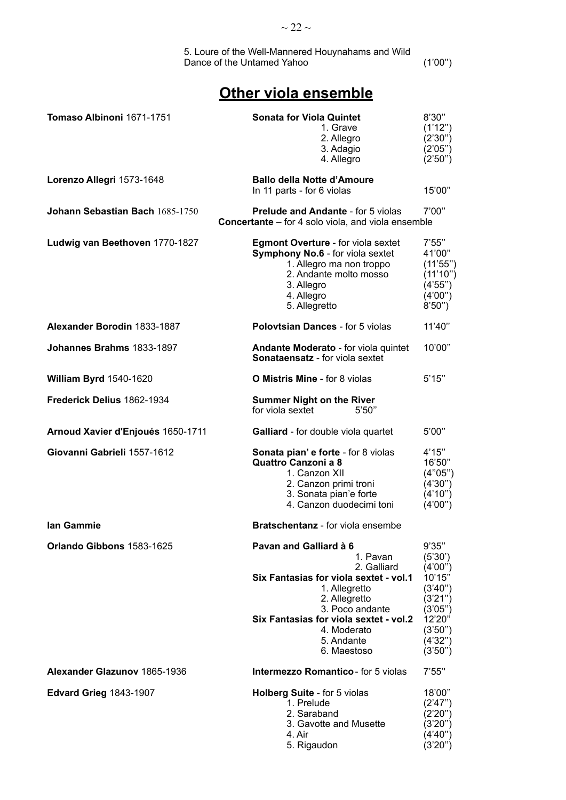# **Other viola ensemble**

| Tomaso Albinoni 1671-1751         | <b>Sonata for Viola Quintet</b><br>1. Grave<br>2. Allegro<br>3. Adagio<br>4. Allegro                                                                                                                                                   | 8'30"<br>(1'12'')<br>(2'30'')<br>(2'05'')<br>(2'50'')                                                                    |
|-----------------------------------|----------------------------------------------------------------------------------------------------------------------------------------------------------------------------------------------------------------------------------------|--------------------------------------------------------------------------------------------------------------------------|
| Lorenzo Allegri 1573-1648         | <b>Ballo della Notte d'Amoure</b><br>In 11 parts - for 6 violas                                                                                                                                                                        | 15'00"                                                                                                                   |
| Johann Sebastian Bach 1685-1750   | <b>Prelude and Andante - for 5 violas</b><br><b>Concertante</b> – for 4 solo viola, and viola ensemble                                                                                                                                 | 7'00"                                                                                                                    |
| Ludwig van Beethoven 1770-1827    | <b>Egmont Overture - for viola sextet</b><br>Symphony No.6 - for viola sextet<br>1. Allegro ma non troppo<br>2. Andante molto mosso<br>3. Allegro<br>4. Allegro<br>5. Allegretto                                                       | 7'55"<br>41'00"<br>(11'55'')<br>(11'10'')<br>(4'55'')<br>(4'00'')<br>8'50'                                               |
| Alexander Borodin 1833-1887       | <b>Polovtsian Dances - for 5 violas</b>                                                                                                                                                                                                | 11'40"                                                                                                                   |
| Johannes Brahms 1833-1897         | Andante Moderato - for viola quintet<br><b>Sonataensatz</b> - for viola sextet                                                                                                                                                         | 10'00"                                                                                                                   |
| <b>William Byrd 1540-1620</b>     | <b>O Mistris Mine</b> - for 8 violas                                                                                                                                                                                                   | 5'15"                                                                                                                    |
| Frederick Delius 1862-1934        | <b>Summer Night on the River</b><br>for viola sextet<br>5'50''                                                                                                                                                                         |                                                                                                                          |
| Arnoud Xavier d'Enjoués 1650-1711 | Galliard - for double viola quartet                                                                                                                                                                                                    | 5'00"                                                                                                                    |
| Giovanni Gabrieli 1557-1612       | <b>Sonata pian' e forte - for 8 violas</b><br><b>Quattro Canzoni a 8</b><br>1. Canzon XII<br>2. Canzon primi troni<br>3. Sonata pian'e forte<br>4. Canzon duodecimi toni                                                               | 4'15"<br>16'50"<br>(4"05")<br>(4'30'')<br>(4'10'')<br>(4'00'')                                                           |
| Ian Gammie                        | <b>Bratschentanz</b> - for viola ensembe                                                                                                                                                                                               |                                                                                                                          |
| Orlando Gibbons 1583-1625         | Pavan and Galliard à 6<br>1. Pavan<br>2. Galliard<br>Six Fantasias for viola sextet - vol.1<br>1. Allegretto<br>2. Allegretto<br>3. Poco andante<br>Six Fantasias for viola sextet - vol.2<br>4. Moderato<br>5. Andante<br>6. Maestoso | 9'35"<br>(5'30')<br>(4'00'')<br>10'15"<br>(3'40'')<br>(3'21'')<br>(3'05'')<br>12'20"<br>(3'50'')<br>(4'32'')<br>(3'50'') |
| Alexander Glazunov 1865-1936      | <b>Intermezzo Romantico</b> - for 5 violas                                                                                                                                                                                             | 7'55"                                                                                                                    |
| <b>Edvard Grieg 1843-1907</b>     | Holberg Suite - for 5 violas<br>1. Prelude<br>2. Saraband<br>3. Gavotte and Musette<br>4. Air<br>5. Rigaudon                                                                                                                           | 18'00"<br>(2'47")<br>(2'20'')<br>(3'20'')<br>(4'40")<br>(3'20'')                                                         |